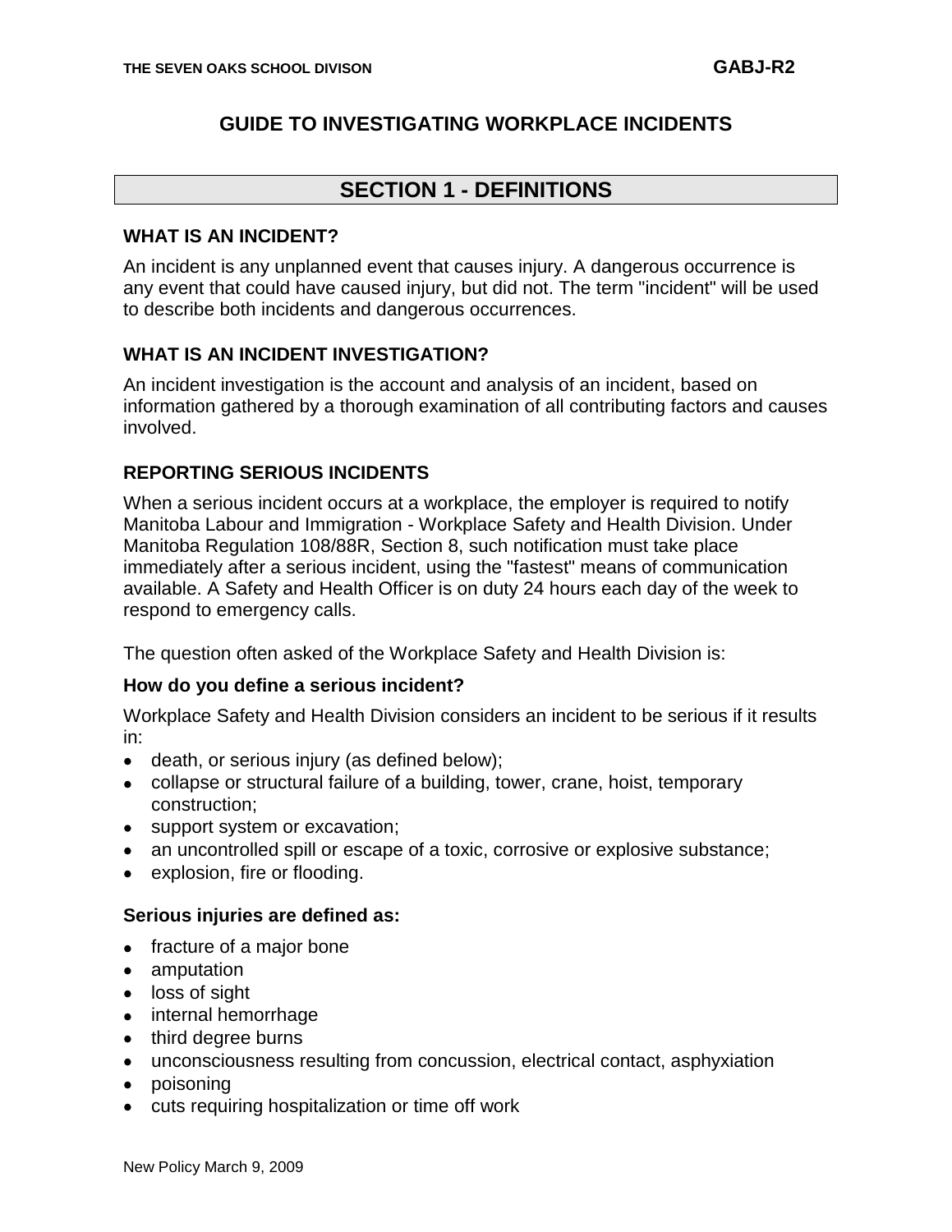#### **GUIDE TO INVESTIGATING WORKPLACE INCIDENTS**

## **SECTION 1 - DEFINITIONS**

#### **WHAT IS AN INCIDENT?**

An incident is any unplanned event that causes injury. A dangerous occurrence is any event that could have caused injury, but did not. The term "incident" will be used to describe both incidents and dangerous occurrences.

#### **WHAT IS AN INCIDENT INVESTIGATION?**

An incident investigation is the account and analysis of an incident, based on information gathered by a thorough examination of all contributing factors and causes involved.

#### **REPORTING SERIOUS INCIDENTS**

When a serious incident occurs at a workplace, the employer is required to notify Manitoba Labour and Immigration - Workplace Safety and Health Division. Under Manitoba Regulation 108/88R, Section 8, such notification must take place immediately after a serious incident, using the "fastest" means of communication available. A Safety and Health Officer is on duty 24 hours each day of the week to respond to emergency calls.

The question often asked of the Workplace Safety and Health Division is:

#### **How do you define a serious incident?**

Workplace Safety and Health Division considers an incident to be serious if it results in:

- death, or serious injury (as defined below);
- collapse or structural failure of a building, tower, crane, hoist, temporary construction;
- support system or excavation;
- an uncontrolled spill or escape of a toxic, corrosive or explosive substance;
- explosion, fire or flooding.  $\bullet$

#### **Serious injuries are defined as:**

- fracture of a major bone
- amputation  $\bullet$
- loss of sight
- internal hemorrhage
- third degree burns
- unconsciousness resulting from concussion, electrical contact, asphyxiation  $\bullet$
- poisoning
- cuts requiring hospitalization or time off work  $\bullet$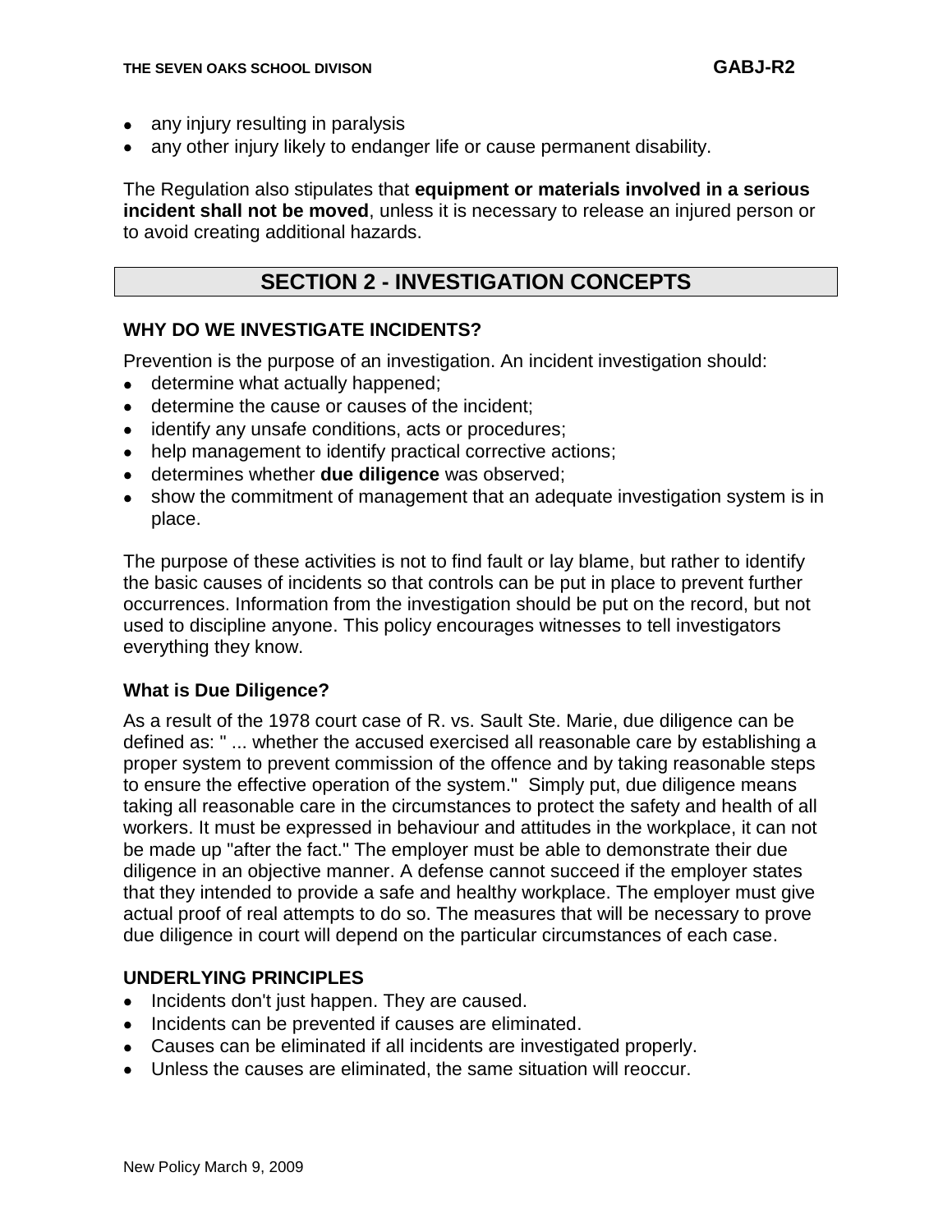- any injury resulting in paralysis
- any other injury likely to endanger life or cause permanent disability.

The Regulation also stipulates that **equipment or materials involved in a serious incident shall not be moved**, unless it is necessary to release an injured person or to avoid creating additional hazards.

## **SECTION 2 - INVESTIGATION CONCEPTS**

#### **WHY DO WE INVESTIGATE INCIDENTS?**

Prevention is the purpose of an investigation. An incident investigation should:

- determine what actually happened;
- determine the cause or causes of the incident;
- identify any unsafe conditions, acts or procedures;
- help management to identify practical corrective actions;  $\bullet$
- determines whether **due diligence** was observed;
- show the commitment of management that an adequate investigation system is in place.

The purpose of these activities is not to find fault or lay blame, but rather to identify the basic causes of incidents so that controls can be put in place to prevent further occurrences. Information from the investigation should be put on the record, but not used to discipline anyone. This policy encourages witnesses to tell investigators everything they know.

#### **What is Due Diligence?**

As a result of the 1978 court case of R. vs. Sault Ste. Marie, due diligence can be defined as: " ... whether the accused exercised all reasonable care by establishing a proper system to prevent commission of the offence and by taking reasonable steps to ensure the effective operation of the system." Simply put, due diligence means taking all reasonable care in the circumstances to protect the safety and health of all workers. It must be expressed in behaviour and attitudes in the workplace, it can not be made up "after the fact." The employer must be able to demonstrate their due diligence in an objective manner. A defense cannot succeed if the employer states that they intended to provide a safe and healthy workplace. The employer must give actual proof of real attempts to do so. The measures that will be necessary to prove due diligence in court will depend on the particular circumstances of each case.

#### **UNDERLYING PRINCIPLES**

- Incidents don't just happen. They are caused.
- Incidents can be prevented if causes are eliminated.
- Causes can be eliminated if all incidents are investigated properly.
- Unless the causes are eliminated, the same situation will reoccur.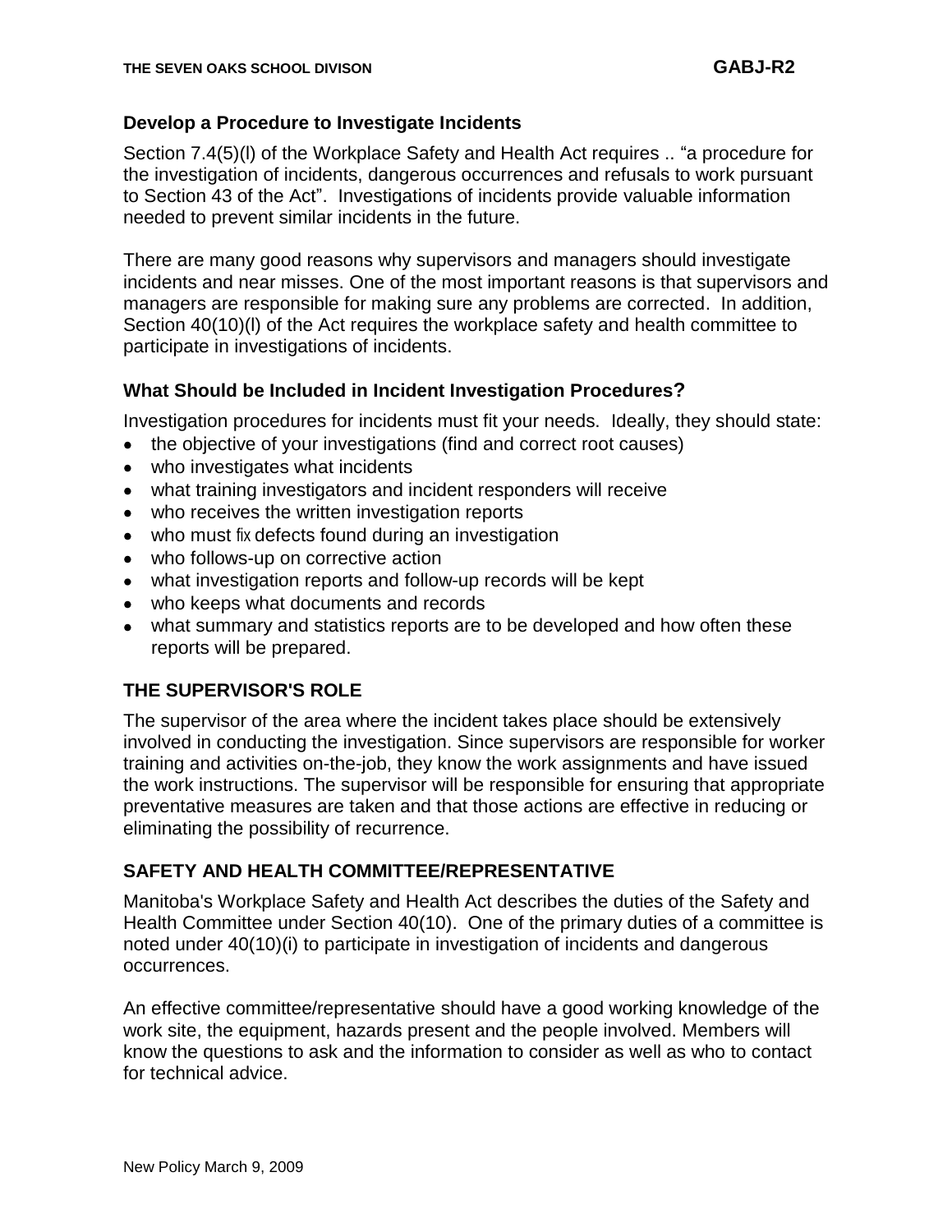#### **Develop a Procedure to Investigate Incidents**

Section 7.4(5)(l) of the Workplace Safety and Health Act requires .. "a procedure for the investigation of incidents, dangerous occurrences and refusals to work pursuant to Section 43 of the Act". Investigations of incidents provide valuable information needed to prevent similar incidents in the future.

There are many good reasons why supervisors and managers should investigate incidents and near misses. One of the most important reasons is that supervisors and managers are responsible for making sure any problems are corrected. In addition, Section 40(10)(l) of the Act requires the workplace safety and health committee to participate in investigations of incidents.

#### **What Should be Included in Incident Investigation Procedures?**

Investigation procedures for incidents must fit your needs. Ideally, they should state:

- $\bullet$ the objective of your investigations (find and correct root causes)
- who investigates what incidents
- what training investigators and incident responders will receive
- who receives the written investigation reports
- who must fix defects found during an investigation  $\bullet$
- who follows-up on corrective action
- $\bullet$ what investigation reports and follow-up records will be kept
- who keeps what documents and records
- what summary and statistics reports are to be developed and how often these  $\bullet$ reports will be prepared.

#### **THE SUPERVISOR'S ROLE**

The supervisor of the area where the incident takes place should be extensively involved in conducting the investigation. Since supervisors are responsible for worker training and activities on-the-job, they know the work assignments and have issued the work instructions. The supervisor will be responsible for ensuring that appropriate preventative measures are taken and that those actions are effective in reducing or eliminating the possibility of recurrence.

#### **SAFETY AND HEALTH COMMITTEE/REPRESENTATIVE**

Manitoba's Workplace Safety and Health Act describes the duties of the Safety and Health Committee under Section 40(10). One of the primary duties of a committee is noted under 40(10)(i) to participate in investigation of incidents and dangerous occurrences.

An effective committee/representative should have a good working knowledge of the work site, the equipment, hazards present and the people involved. Members will know the questions to ask and the information to consider as well as who to contact for technical advice.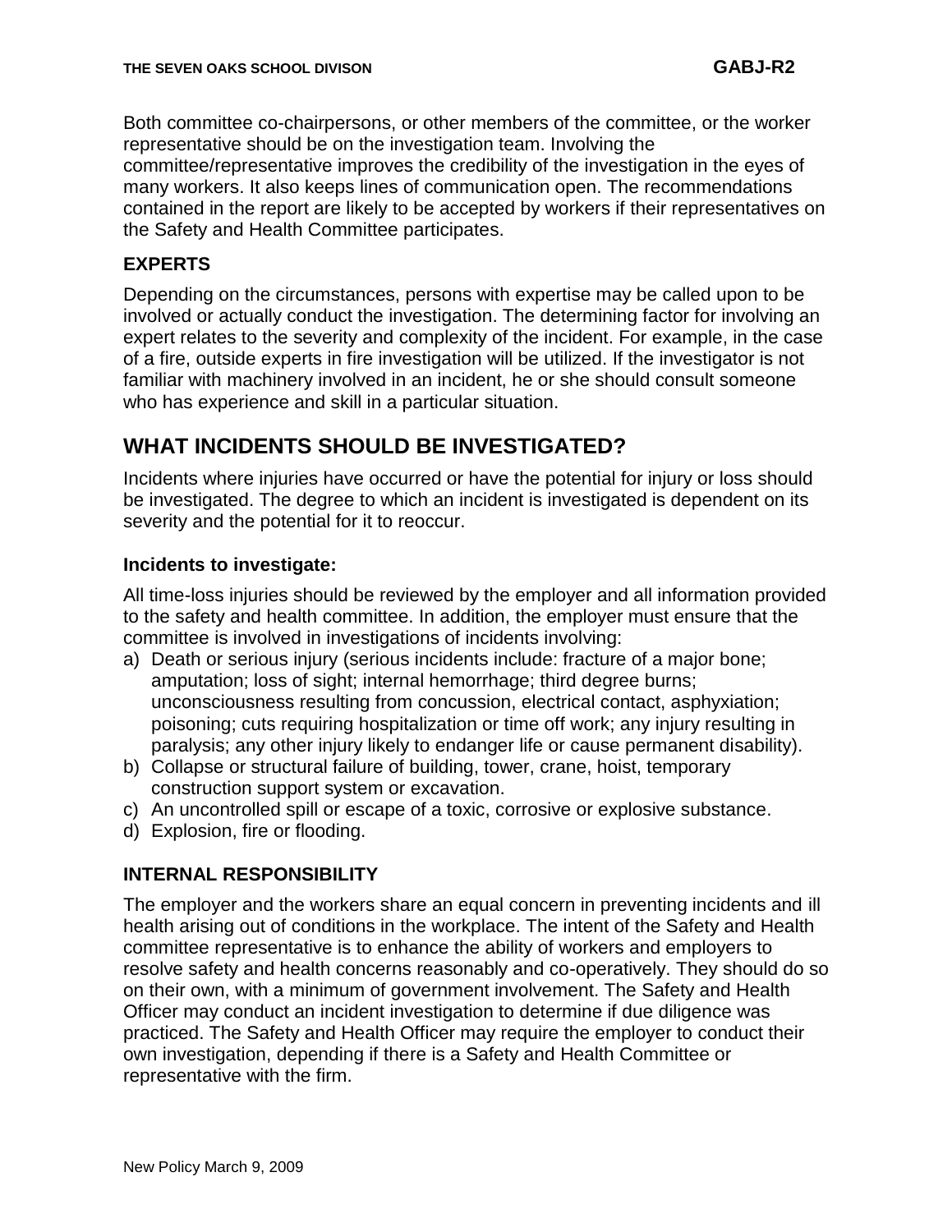Both committee co-chairpersons, or other members of the committee, or the worker representative should be on the investigation team. Involving the committee/representative improves the credibility of the investigation in the eyes of many workers. It also keeps lines of communication open. The recommendations contained in the report are likely to be accepted by workers if their representatives on the Safety and Health Committee participates.

#### **EXPERTS**

Depending on the circumstances, persons with expertise may be called upon to be involved or actually conduct the investigation. The determining factor for involving an expert relates to the severity and complexity of the incident. For example, in the case of a fire, outside experts in fire investigation will be utilized. If the investigator is not familiar with machinery involved in an incident, he or she should consult someone who has experience and skill in a particular situation.

## **WHAT INCIDENTS SHOULD BE INVESTIGATED?**

Incidents where injuries have occurred or have the potential for injury or loss should be investigated. The degree to which an incident is investigated is dependent on its severity and the potential for it to reoccur.

#### **Incidents to investigate:**

All time-loss injuries should be reviewed by the employer and all information provided to the safety and health committee. In addition, the employer must ensure that the committee is involved in investigations of incidents involving:

- a) Death or serious injury (serious incidents include: fracture of a major bone; amputation; loss of sight; internal hemorrhage; third degree burns; unconsciousness resulting from concussion, electrical contact, asphyxiation; poisoning; cuts requiring hospitalization or time off work; any injury resulting in paralysis; any other injury likely to endanger life or cause permanent disability).
- b) Collapse or structural failure of building, tower, crane, hoist, temporary construction support system or excavation.
- c) An uncontrolled spill or escape of a toxic, corrosive or explosive substance.
- d) Explosion, fire or flooding.

#### **INTERNAL RESPONSIBILITY**

The employer and the workers share an equal concern in preventing incidents and ill health arising out of conditions in the workplace. The intent of the Safety and Health committee representative is to enhance the ability of workers and employers to resolve safety and health concerns reasonably and co-operatively. They should do so on their own, with a minimum of government involvement. The Safety and Health Officer may conduct an incident investigation to determine if due diligence was practiced. The Safety and Health Officer may require the employer to conduct their own investigation, depending if there is a Safety and Health Committee or representative with the firm.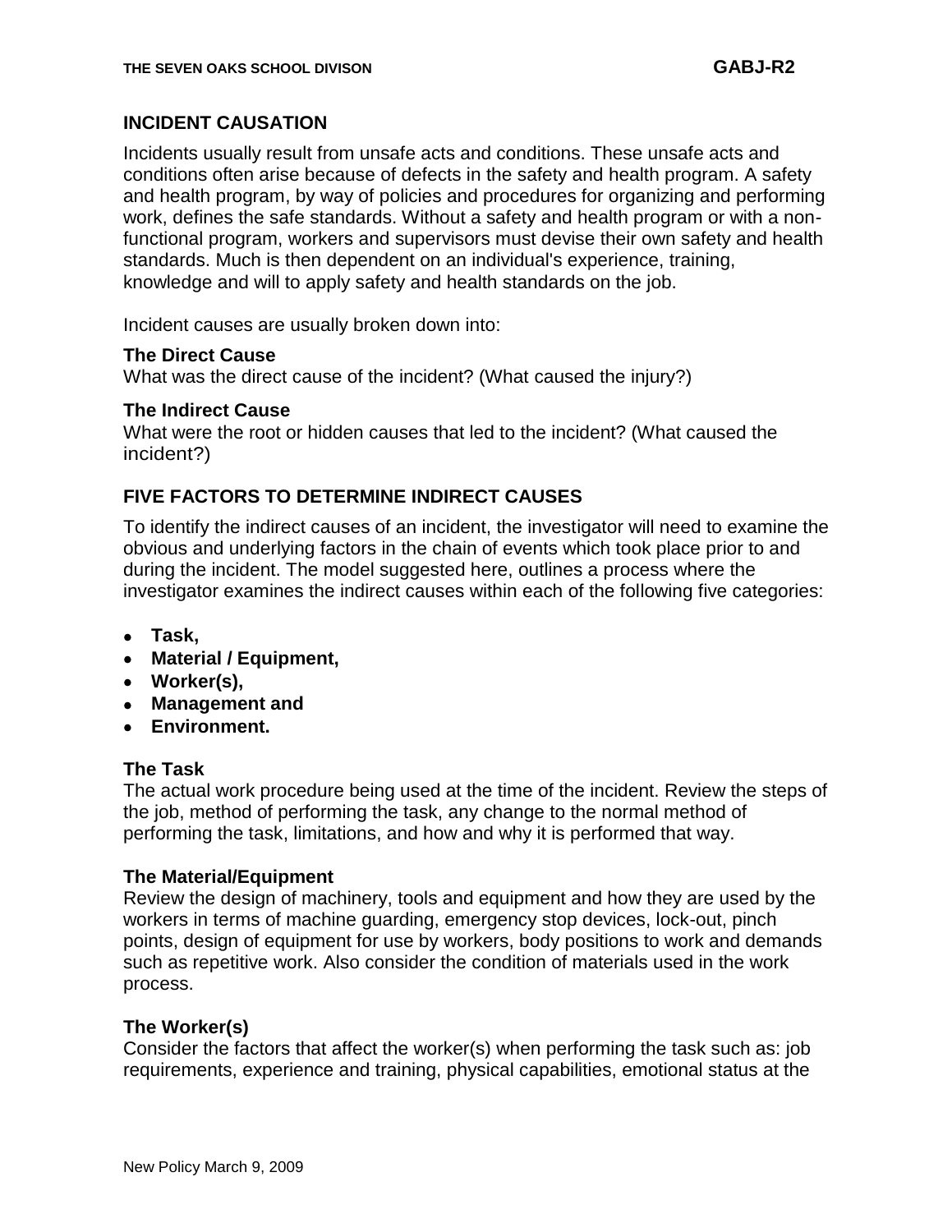#### **INCIDENT CAUSATION**

Incidents usually result from unsafe acts and conditions. These unsafe acts and conditions often arise because of defects in the safety and health program. A safety and health program, by way of policies and procedures for organizing and performing work, defines the safe standards. Without a safety and health program or with a nonfunctional program, workers and supervisors must devise their own safety and health standards. Much is then dependent on an individual's experience, training, knowledge and will to apply safety and health standards on the job.

Incident causes are usually broken down into:

#### **The Direct Cause**

What was the direct cause of the incident? (What caused the injury?)

#### **The Indirect Cause**

What were the root or hidden causes that led to the incident? (What caused the incident?)

#### **FIVE FACTORS TO DETERMINE INDIRECT CAUSES**

To identify the indirect causes of an incident, the investigator will need to examine the obvious and underlying factors in the chain of events which took place prior to and during the incident. The model suggested here, outlines a process where the investigator examines the indirect causes within each of the following five categories:

- **Task,**
- **Material / Equipment,**
- **Worker(s),**
- **Management and**
- **Environment.**

#### **The Task**

The actual work procedure being used at the time of the incident. Review the steps of the job, method of performing the task, any change to the normal method of performing the task, limitations, and how and why it is performed that way.

#### **The Material/Equipment**

Review the design of machinery, tools and equipment and how they are used by the workers in terms of machine guarding, emergency stop devices, lock-out, pinch points, design of equipment for use by workers, body positions to work and demands such as repetitive work. Also consider the condition of materials used in the work process.

#### **The Worker(s)**

Consider the factors that affect the worker(s) when performing the task such as: job requirements, experience and training, physical capabilities, emotional status at the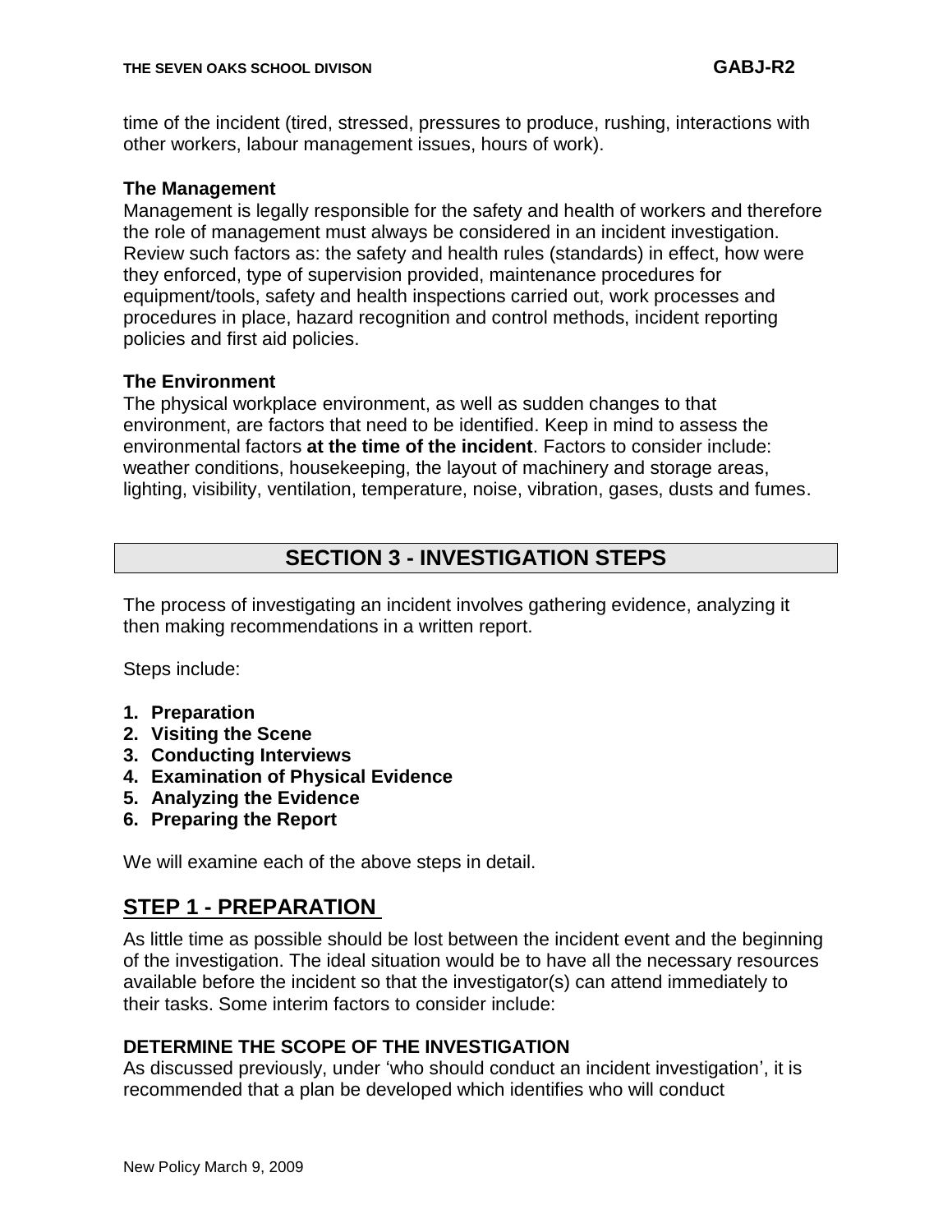time of the incident (tired, stressed, pressures to produce, rushing, interactions with other workers, labour management issues, hours of work).

#### **The Management**

Management is legally responsible for the safety and health of workers and therefore the role of management must always be considered in an incident investigation. Review such factors as: the safety and health rules (standards) in effect, how were they enforced, type of supervision provided, maintenance procedures for equipment/tools, safety and health inspections carried out, work processes and procedures in place, hazard recognition and control methods, incident reporting policies and first aid policies.

#### **The Environment**

The physical workplace environment, as well as sudden changes to that environment, are factors that need to be identified. Keep in mind to assess the environmental factors **at the time of the incident**. Factors to consider include: weather conditions, housekeeping, the layout of machinery and storage areas, lighting, visibility, ventilation, temperature, noise, vibration, gases, dusts and fumes.

## **SECTION 3 - INVESTIGATION STEPS**

The process of investigating an incident involves gathering evidence, analyzing it then making recommendations in a written report.

Steps include:

- **1. Preparation**
- **2. Visiting the Scene**
- **3. Conducting Interviews**
- **4. Examination of Physical Evidence**
- **5. Analyzing the Evidence**
- **6. Preparing the Report**

We will examine each of the above steps in detail.

## **STEP 1 - PREPARATION**

As little time as possible should be lost between the incident event and the beginning of the investigation. The ideal situation would be to have all the necessary resources available before the incident so that the investigator(s) can attend immediately to their tasks. Some interim factors to consider include:

#### **DETERMINE THE SCOPE OF THE INVESTIGATION**

As discussed previously, under "who should conduct an incident investigation", it is recommended that a plan be developed which identifies who will conduct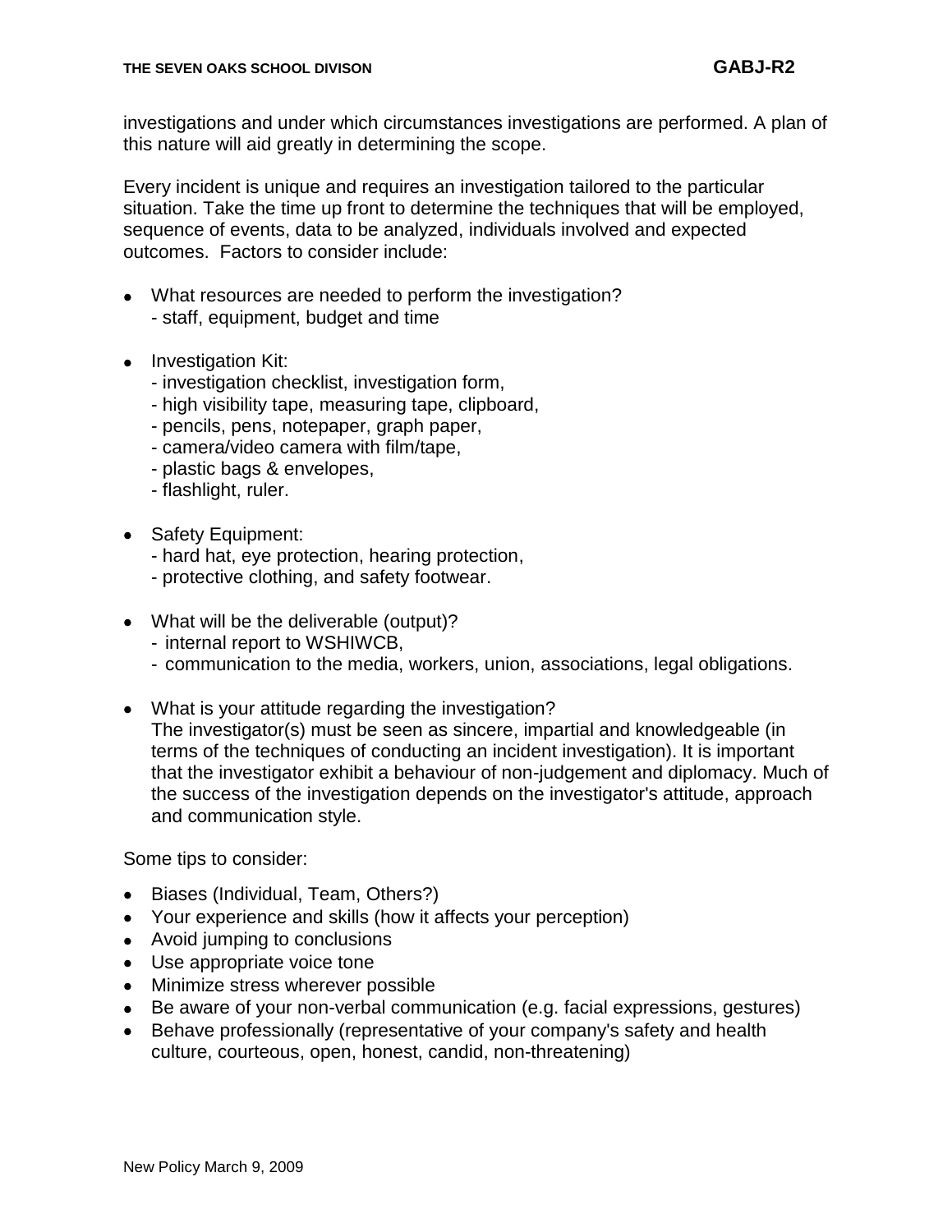investigations and under which circumstances investigations are performed. A plan of this nature will aid greatly in determining the scope.

Every incident is unique and requires an investigation tailored to the particular situation. Take the time up front to determine the techniques that will be employed, sequence of events, data to be analyzed, individuals involved and expected outcomes. Factors to consider include:

- What resources are needed to perform the investigation? - staff, equipment, budget and time
- Investigation Kit:
	- investigation checklist, investigation form,
	- high visibility tape, measuring tape, clipboard,
	- pencils, pens, notepaper, graph paper,
	- camera/video camera with film/tape,
	- plastic bags & envelopes,
	- flashlight, ruler.
- Safety Equipment:
	- hard hat, eye protection, hearing protection,
	- protective clothing, and safety footwear.
- What will be the deliverable (output)?
	- internal report to WSHIWCB,
	- communication to the media, workers, union, associations, legal obligations.
- What is your attitude regarding the investigation? The investigator(s) must be seen as sincere, impartial and knowledgeable (in terms of the techniques of conducting an incident investigation). It is important that the investigator exhibit a behaviour of non-judgement and diplomacy. Much of the success of the investigation depends on the investigator's attitude, approach and communication style.

Some tips to consider:

- Biases (Individual, Team, Others?)  $\bullet$
- Your experience and skills (how it affects your perception)
- Avoid jumping to conclusions
- Use appropriate voice tone
- Minimize stress wherever possible
- Be aware of your non-verbal communication (e.g. facial expressions, gestures)  $\bullet$
- Behave professionally (representative of your company's safety and health culture, courteous, open, honest, candid, non-threatening)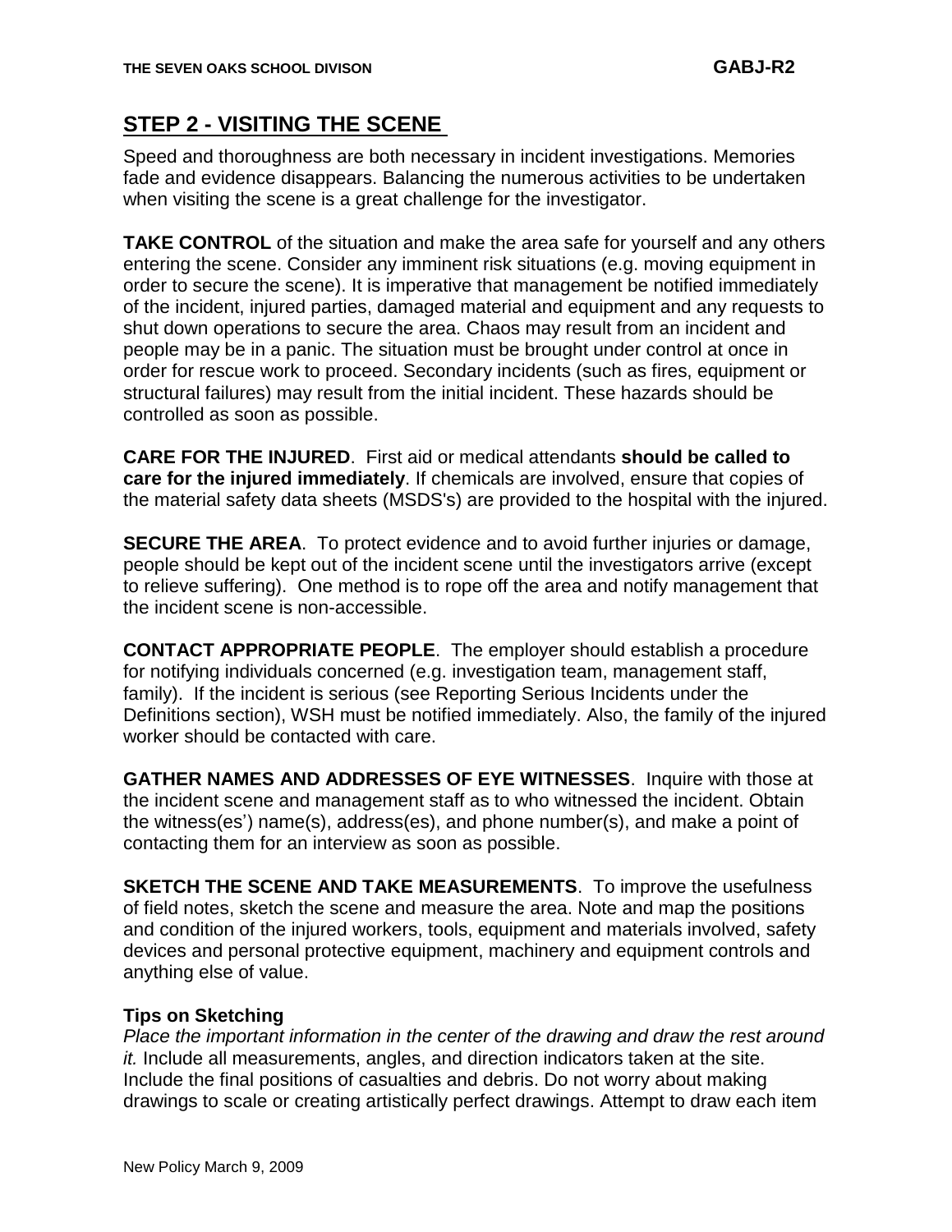## **STEP 2 - VISITING THE SCENE**

Speed and thoroughness are both necessary in incident investigations. Memories fade and evidence disappears. Balancing the numerous activities to be undertaken when visiting the scene is a great challenge for the investigator.

**TAKE CONTROL** of the situation and make the area safe for yourself and any others entering the scene. Consider any imminent risk situations (e.g. moving equipment in order to secure the scene). It is imperative that management be notified immediately of the incident, injured parties, damaged material and equipment and any requests to shut down operations to secure the area. Chaos may result from an incident and people may be in a panic. The situation must be brought under control at once in order for rescue work to proceed. Secondary incidents (such as fires, equipment or structural failures) may result from the initial incident. These hazards should be controlled as soon as possible.

**CARE FOR THE INJURED**. First aid or medical attendants **should be called to care for the injured immediately**. If chemicals are involved, ensure that copies of the material safety data sheets (MSDS's) are provided to the hospital with the injured.

**SECURE THE AREA**. To protect evidence and to avoid further injuries or damage, people should be kept out of the incident scene until the investigators arrive (except to relieve suffering). One method is to rope off the area and notify management that the incident scene is non-accessible.

**CONTACT APPROPRIATE PEOPLE**. The employer should establish a procedure for notifying individuals concerned (e.g. investigation team, management staff, family). If the incident is serious (see Reporting Serious Incidents under the Definitions section), WSH must be notified immediately. Also, the family of the injured worker should be contacted with care.

**GATHER NAMES AND ADDRESSES OF EYE WITNESSES**. Inquire with those at the incident scene and management staff as to who witnessed the incident. Obtain the witness(es") name(s), address(es), and phone number(s), and make a point of contacting them for an interview as soon as possible.

**SKETCH THE SCENE AND TAKE MEASUREMENTS**. To improve the usefulness of field notes, sketch the scene and measure the area. Note and map the positions and condition of the injured workers, tools, equipment and materials involved, safety devices and personal protective equipment, machinery and equipment controls and anything else of value.

#### **Tips on Sketching**

*Place the important information in the center of the drawing and draw the rest around it.* Include all measurements, angles, and direction indicators taken at the site. Include the final positions of casualties and debris. Do not worry about making drawings to scale or creating artistically perfect drawings. Attempt to draw each item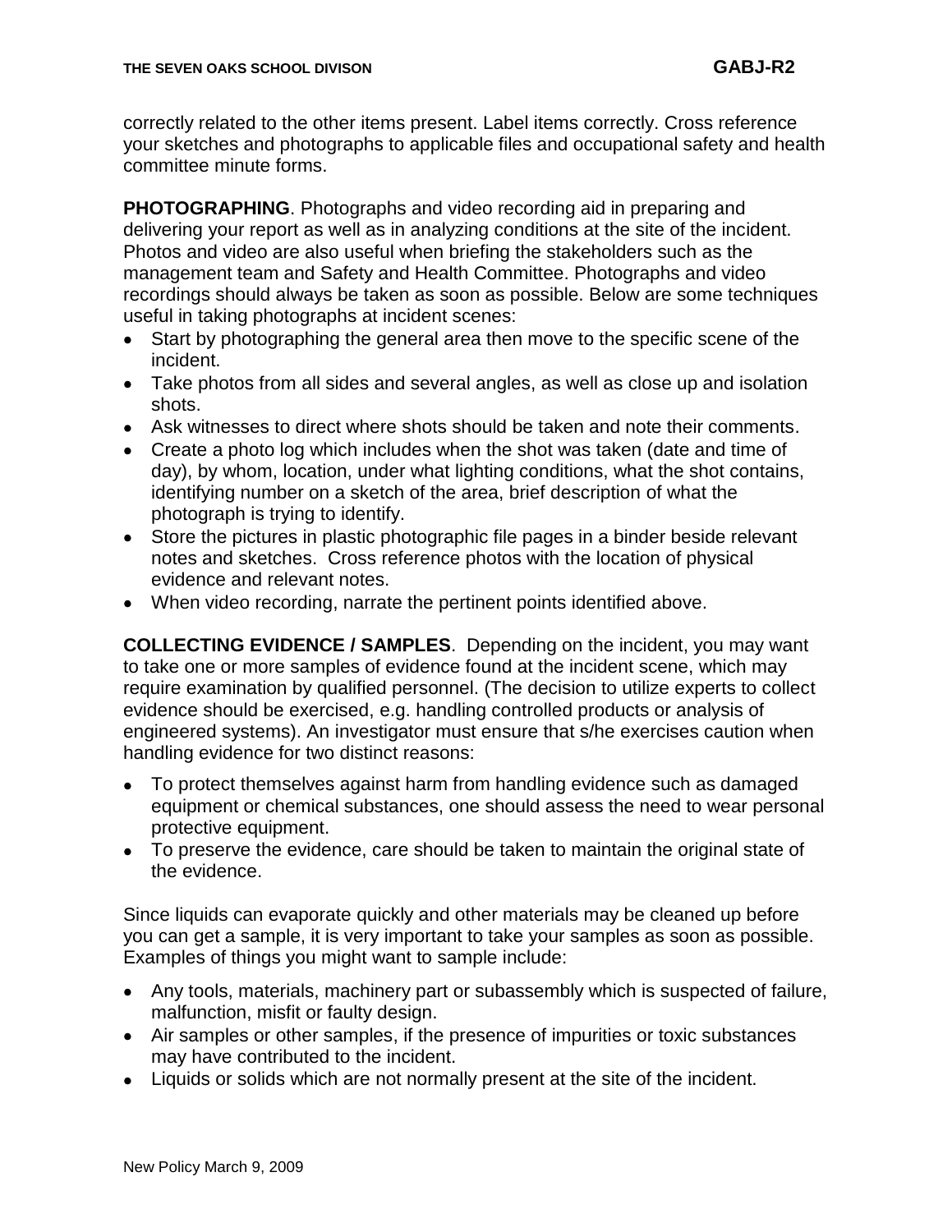correctly related to the other items present. Label items correctly. Cross reference your sketches and photographs to applicable files and occupational safety and health committee minute forms.

**PHOTOGRAPHING**. Photographs and video recording aid in preparing and delivering your report as well as in analyzing conditions at the site of the incident. Photos and video are also useful when briefing the stakeholders such as the management team and Safety and Health Committee. Photographs and video recordings should always be taken as soon as possible. Below are some techniques useful in taking photographs at incident scenes:

- Start by photographing the general area then move to the specific scene of the  $\bullet$ incident.
- Take photos from all sides and several angles, as well as close up and isolation shots.
- Ask witnesses to direct where shots should be taken and note their comments.
- Create a photo log which includes when the shot was taken (date and time of day), by whom, location, under what lighting conditions, what the shot contains, identifying number on a sketch of the area, brief description of what the photograph is trying to identify.
- Store the pictures in plastic photographic file pages in a binder beside relevant notes and sketches. Cross reference photos with the location of physical evidence and relevant notes.
- When video recording, narrate the pertinent points identified above.

**COLLECTING EVIDENCE / SAMPLES**. Depending on the incident, you may want to take one or more samples of evidence found at the incident scene, which may require examination by qualified personnel. (The decision to utilize experts to collect evidence should be exercised, e.g. handling controlled products or analysis of engineered systems). An investigator must ensure that s/he exercises caution when handling evidence for two distinct reasons:

- To protect themselves against harm from handling evidence such as damaged  $\bullet$ equipment or chemical substances, one should assess the need to wear personal protective equipment.
- To preserve the evidence, care should be taken to maintain the original state of the evidence.

Since liquids can evaporate quickly and other materials may be cleaned up before you can get a sample, it is very important to take your samples as soon as possible. Examples of things you might want to sample include:

- Any tools, materials, machinery part or subassembly which is suspected of failure, malfunction, misfit or faulty design.
- Air samples or other samples, if the presence of impurities or toxic substances may have contributed to the incident.
- Liquids or solids which are not normally present at the site of the incident.  $\bullet$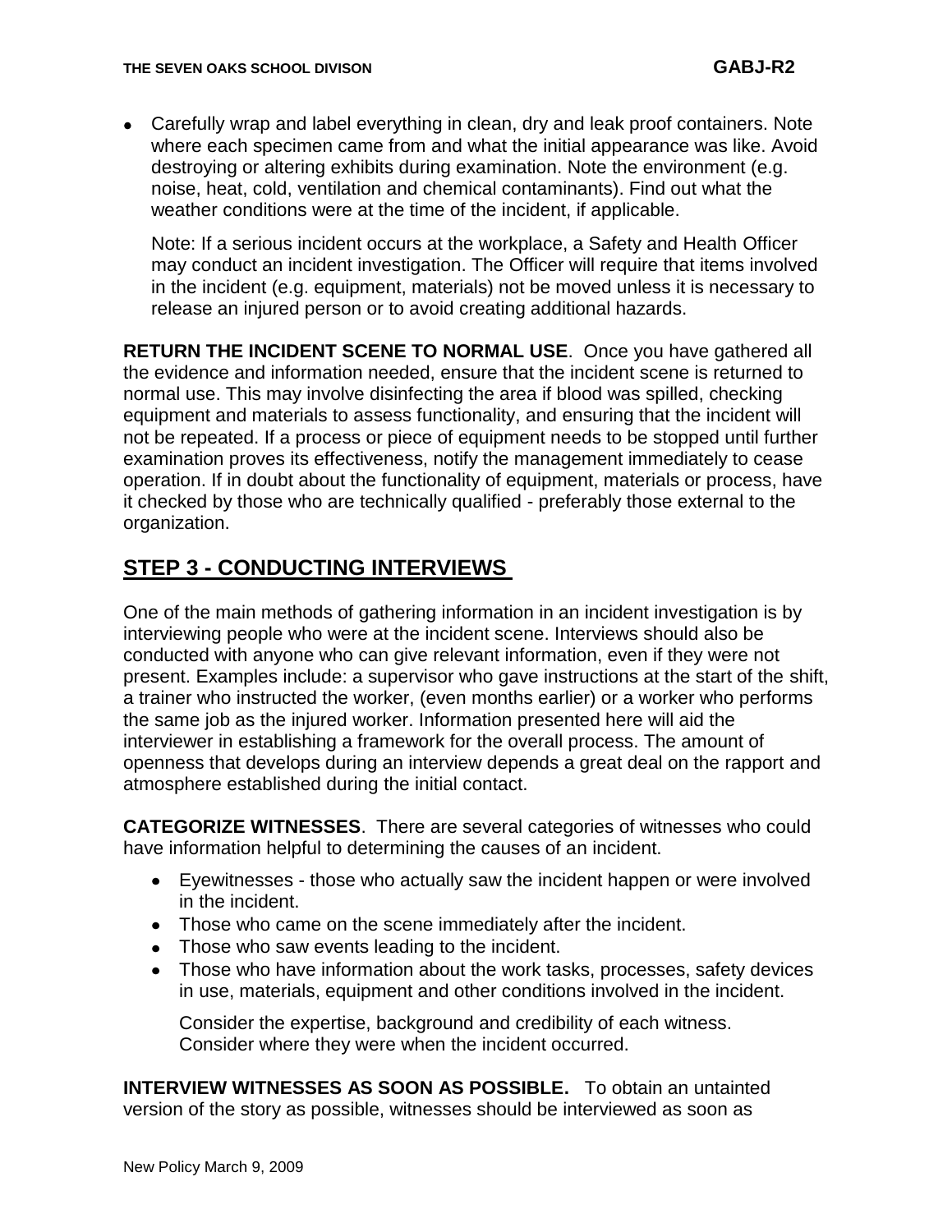Carefully wrap and label everything in clean, dry and leak proof containers. Note where each specimen came from and what the initial appearance was like. Avoid destroying or altering exhibits during examination. Note the environment (e.g. noise, heat, cold, ventilation and chemical contaminants). Find out what the weather conditions were at the time of the incident, if applicable.

Note: If a serious incident occurs at the workplace, a Safety and Health Officer may conduct an incident investigation. The Officer will require that items involved in the incident (e.g. equipment, materials) not be moved unless it is necessary to release an injured person or to avoid creating additional hazards.

**RETURN THE INCIDENT SCENE TO NORMAL USE**. Once you have gathered all the evidence and information needed, ensure that the incident scene is returned to normal use. This may involve disinfecting the area if blood was spilled, checking equipment and materials to assess functionality, and ensuring that the incident will not be repeated. If a process or piece of equipment needs to be stopped until further examination proves its effectiveness, notify the management immediately to cease operation. If in doubt about the functionality of equipment, materials or process, have it checked by those who are technically qualified - preferably those external to the organization.

## **STEP 3 - CONDUCTING INTERVIEWS**

One of the main methods of gathering information in an incident investigation is by interviewing people who were at the incident scene. Interviews should also be conducted with anyone who can give relevant information, even if they were not present. Examples include: a supervisor who gave instructions at the start of the shift, a trainer who instructed the worker, (even months earlier) or a worker who performs the same job as the injured worker. Information presented here will aid the interviewer in establishing a framework for the overall process. The amount of openness that develops during an interview depends a great deal on the rapport and atmosphere established during the initial contact.

**CATEGORIZE WITNESSES**. There are several categories of witnesses who could have information helpful to determining the causes of an incident.

- Eyewitnesses those who actually saw the incident happen or were involved in the incident.
- Those who came on the scene immediately after the incident.
- Those who saw events leading to the incident.
- Those who have information about the work tasks, processes, safety devices in use, materials, equipment and other conditions involved in the incident.

Consider the expertise, background and credibility of each witness. Consider where they were when the incident occurred.

**INTERVIEW WITNESSES AS SOON AS POSSIBLE.** To obtain an untainted version of the story as possible, witnesses should be interviewed as soon as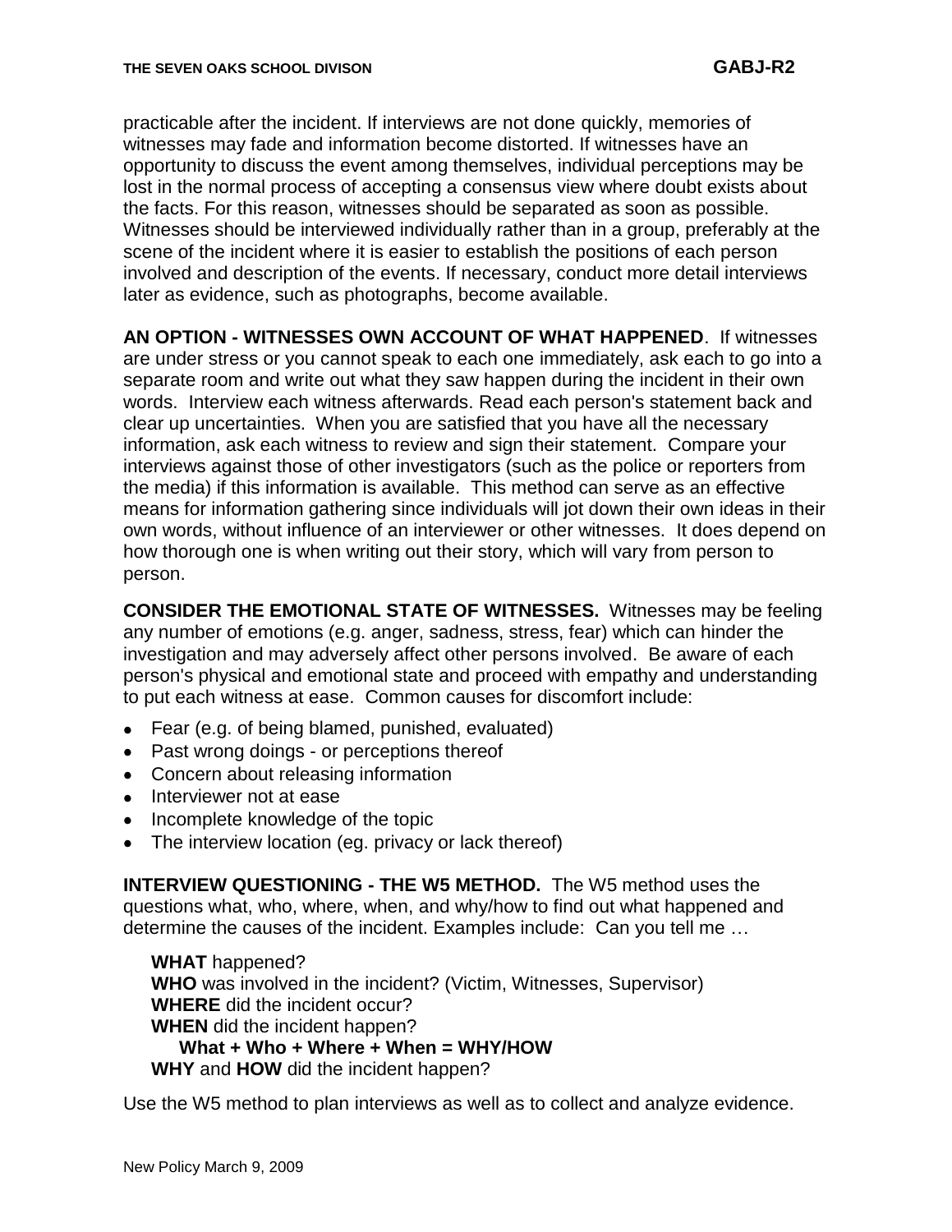practicable after the incident. If interviews are not done quickly, memories of witnesses may fade and information become distorted. If witnesses have an opportunity to discuss the event among themselves, individual perceptions may be lost in the normal process of accepting a consensus view where doubt exists about the facts. For this reason, witnesses should be separated as soon as possible. Witnesses should be interviewed individually rather than in a group, preferably at the scene of the incident where it is easier to establish the positions of each person involved and description of the events. If necessary, conduct more detail interviews later as evidence, such as photographs, become available.

**AN OPTION - WITNESSES OWN ACCOUNT OF WHAT HAPPENED**. If witnesses are under stress or you cannot speak to each one immediately, ask each to go into a separate room and write out what they saw happen during the incident in their own words. Interview each witness afterwards. Read each person's statement back and clear up uncertainties. When you are satisfied that you have all the necessary information, ask each witness to review and sign their statement. Compare your interviews against those of other investigators (such as the police or reporters from the media) if this information is available. This method can serve as an effective means for information gathering since individuals will jot down their own ideas in their own words, without influence of an interviewer or other witnesses. It does depend on how thorough one is when writing out their story, which will vary from person to person.

**CONSIDER THE EMOTIONAL STATE OF WITNESSES.** Witnesses may be feeling any number of emotions (e.g. anger, sadness, stress, fear) which can hinder the investigation and may adversely affect other persons involved. Be aware of each person's physical and emotional state and proceed with empathy and understanding to put each witness at ease. Common causes for discomfort include:

- Fear (e.g. of being blamed, punished, evaluated)
- Past wrong doings or perceptions thereof
- Concern about releasing information
- Interviewer not at ease
- Incomplete knowledge of the topic
- The interview location (eg. privacy or lack thereof)  $\bullet$

**INTERVIEW QUESTIONING - THE W5 METHOD.** The W5 method uses the questions what, who, where, when, and why/how to find out what happened and determine the causes of the incident. Examples include: Can you tell me …

**WHAT** happened? **WHO** was involved in the incident? (Victim, Witnesses, Supervisor) **WHERE** did the incident occur? **WHEN** did the incident happen? **What + Who + Where + When = WHY/HOW WHY** and **HOW** did the incident happen?

Use the W5 method to plan interviews as well as to collect and analyze evidence.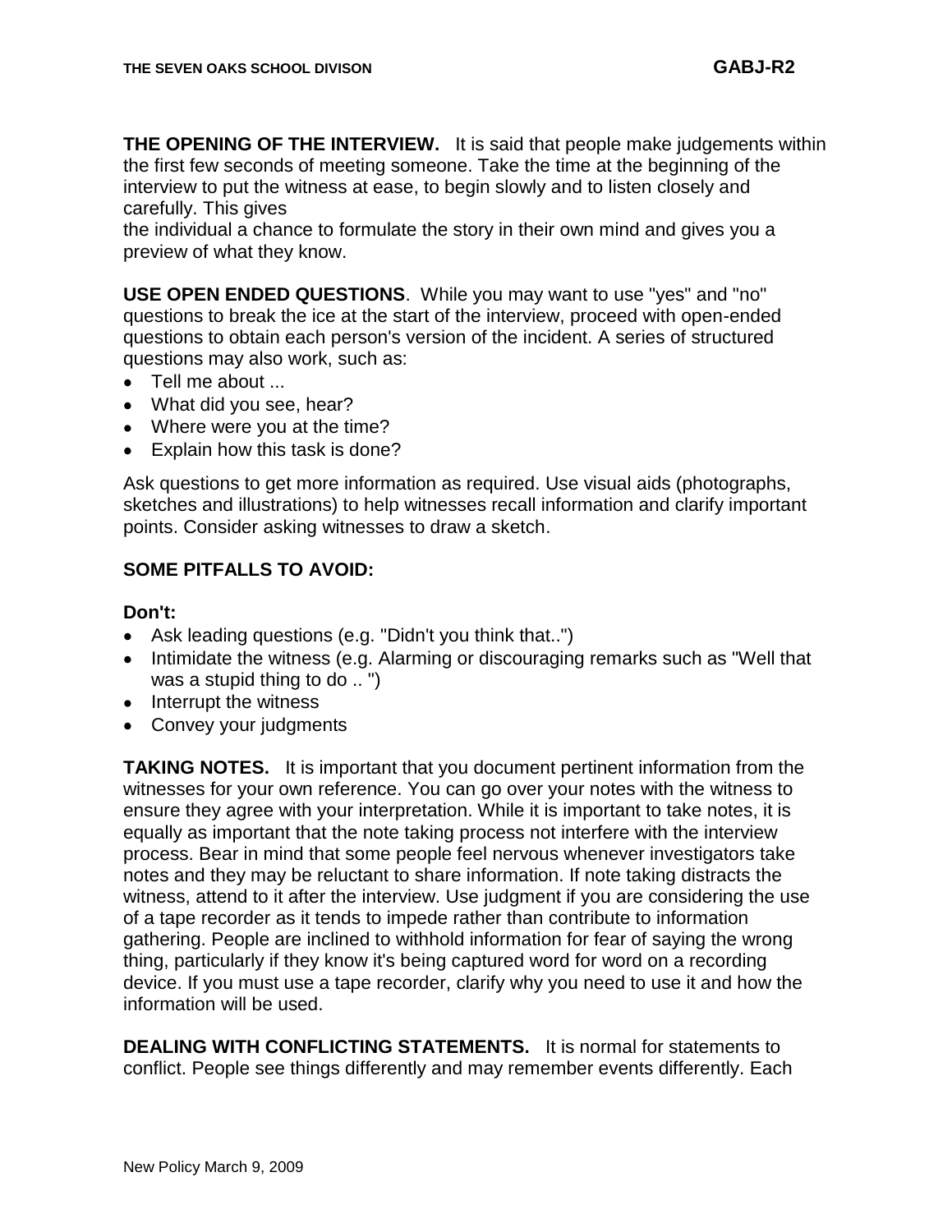**THE OPENING OF THE INTERVIEW.** It is said that people make judgements within the first few seconds of meeting someone. Take the time at the beginning of the interview to put the witness at ease, to begin slowly and to listen closely and carefully. This gives

the individual a chance to formulate the story in their own mind and gives you a preview of what they know.

**USE OPEN ENDED QUESTIONS**. While you may want to use "yes" and "no" questions to break the ice at the start of the interview, proceed with open-ended questions to obtain each person's version of the incident. A series of structured questions may also work, such as:

- Tell me about ...
- What did you see, hear?
- Where were you at the time?
- Explain how this task is done?

Ask questions to get more information as required. Use visual aids (photographs, sketches and illustrations) to help witnesses recall information and clarify important points. Consider asking witnesses to draw a sketch.

#### **SOME PITFALLS TO AVOID:**

#### **Don't:**

- Ask leading questions (e.g. "Didn't you think that..")
- Intimidate the witness (e.g. Alarming or discouraging remarks such as "Well that was a stupid thing to do .. ")
- Interrupt the witness
- Convey your judgments

**TAKING NOTES.** It is important that you document pertinent information from the witnesses for your own reference. You can go over your notes with the witness to ensure they agree with your interpretation. While it is important to take notes, it is equally as important that the note taking process not interfere with the interview process. Bear in mind that some people feel nervous whenever investigators take notes and they may be reluctant to share information. If note taking distracts the witness, attend to it after the interview. Use judgment if you are considering the use of a tape recorder as it tends to impede rather than contribute to information gathering. People are inclined to withhold information for fear of saying the wrong thing, particularly if they know it's being captured word for word on a recording device. If you must use a tape recorder, clarify why you need to use it and how the information will be used.

**DEALING WITH CONFLICTING STATEMENTS.** It is normal for statements to conflict. People see things differently and may remember events differently. Each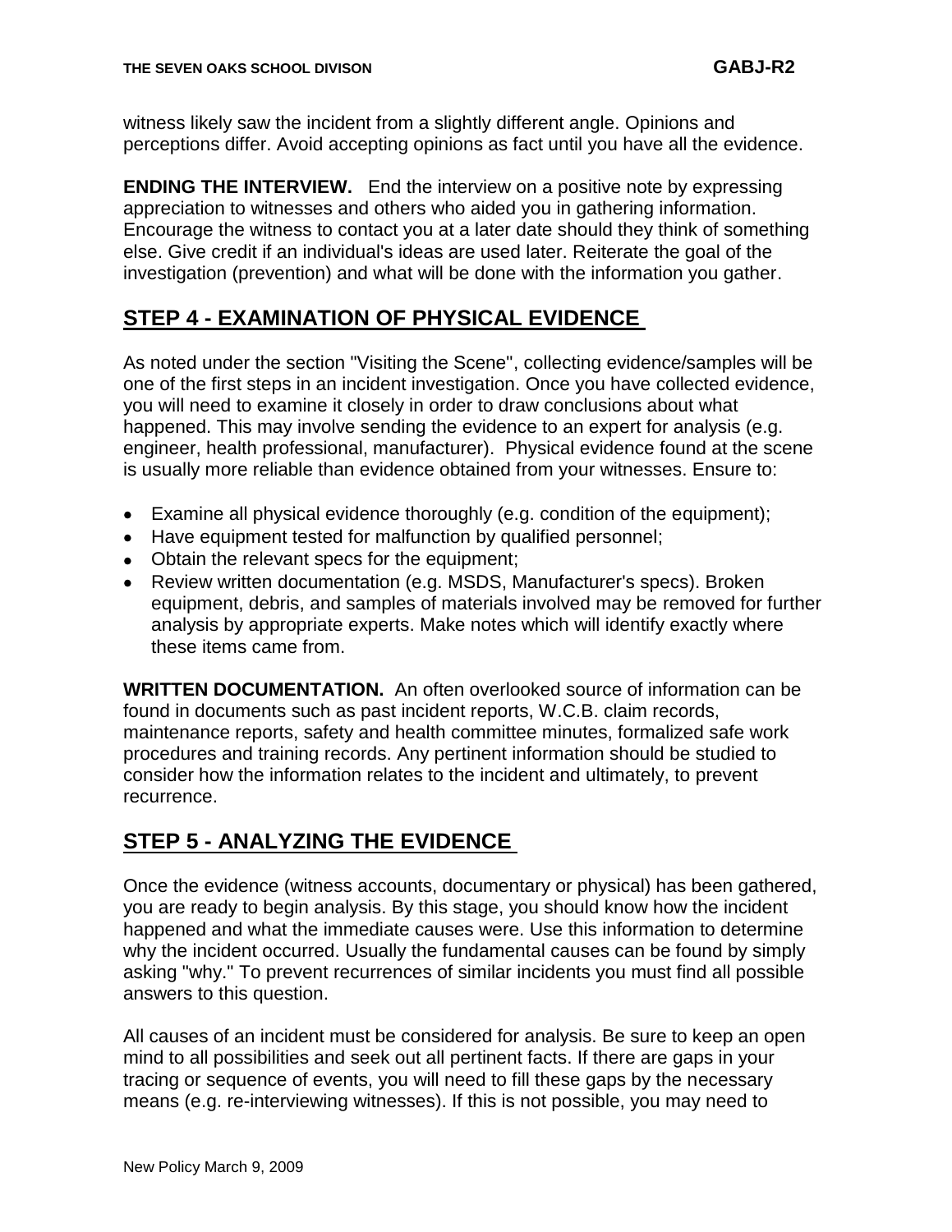witness likely saw the incident from a slightly different angle. Opinions and perceptions differ. Avoid accepting opinions as fact until you have all the evidence.

**ENDING THE INTERVIEW.** End the interview on a positive note by expressing appreciation to witnesses and others who aided you in gathering information. Encourage the witness to contact you at a later date should they think of something else. Give credit if an individual's ideas are used later. Reiterate the goal of the investigation (prevention) and what will be done with the information you gather.

## **STEP 4 - EXAMINATION OF PHYSICAL EVIDENCE**

As noted under the section "Visiting the Scene", collecting evidence/samples will be one of the first steps in an incident investigation. Once you have collected evidence, you will need to examine it closely in order to draw conclusions about what happened. This may involve sending the evidence to an expert for analysis (e.g. engineer, health professional, manufacturer). Physical evidence found at the scene is usually more reliable than evidence obtained from your witnesses. Ensure to:

- Examine all physical evidence thoroughly (e.g. condition of the equipment);
- Have equipment tested for malfunction by qualified personnel;
- Obtain the relevant specs for the equipment;
- Review written documentation (e.g. MSDS, Manufacturer's specs). Broken equipment, debris, and samples of materials involved may be removed for further analysis by appropriate experts. Make notes which will identify exactly where these items came from.

**WRITTEN DOCUMENTATION.** An often overlooked source of information can be found in documents such as past incident reports, W.C.B. claim records, maintenance reports, safety and health committee minutes, formalized safe work procedures and training records. Any pertinent information should be studied to consider how the information relates to the incident and ultimately, to prevent recurrence.

## **STEP 5 - ANALYZING THE EVIDENCE**

Once the evidence (witness accounts, documentary or physical) has been gathered, you are ready to begin analysis. By this stage, you should know how the incident happened and what the immediate causes were. Use this information to determine why the incident occurred. Usually the fundamental causes can be found by simply asking "why." To prevent recurrences of similar incidents you must find all possible answers to this question.

All causes of an incident must be considered for analysis. Be sure to keep an open mind to all possibilities and seek out all pertinent facts. If there are gaps in your tracing or sequence of events, you will need to fill these gaps by the necessary means (e.g. re-interviewing witnesses). If this is not possible, you may need to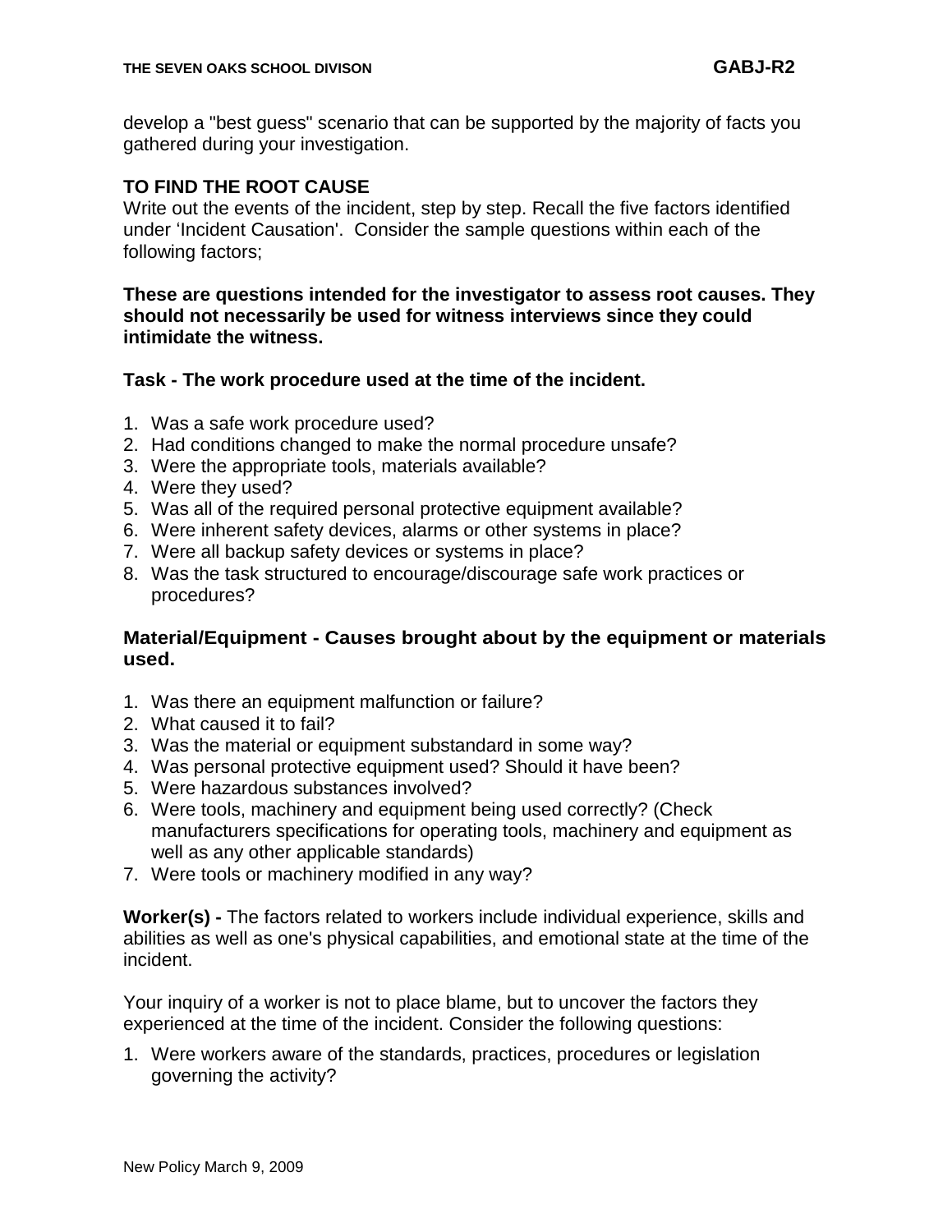develop a "best guess" scenario that can be supported by the majority of facts you gathered during your investigation.

#### **TO FIND THE ROOT CAUSE**

Write out the events of the incident, step by step. Recall the five factors identified under "Incident Causation'. Consider the sample questions within each of the following factors;

#### **These are questions intended for the investigator to assess root causes. They should not necessarily be used for witness interviews since they could intimidate the witness.**

#### **Task - The work procedure used at the time of the incident.**

- 1. Was a safe work procedure used?
- 2. Had conditions changed to make the normal procedure unsafe?
- 3. Were the appropriate tools, materials available?
- 4. Were they used?
- 5. Was all of the required personal protective equipment available?
- 6. Were inherent safety devices, alarms or other systems in place?
- 7. Were all backup safety devices or systems in place?
- 8. Was the task structured to encourage/discourage safe work practices or procedures?

#### **Material/Equipment - Causes brought about by the equipment or materials used.**

- 1. Was there an equipment malfunction or failure?
- 2. What caused it to fail?
- 3. Was the material or equipment substandard in some way?
- 4. Was personal protective equipment used? Should it have been?
- 5. Were hazardous substances involved?
- 6. Were tools, machinery and equipment being used correctly? (Check manufacturers specifications for operating tools, machinery and equipment as well as any other applicable standards)
- 7. Were tools or machinery modified in any way?

**Worker(s) -** The factors related to workers include individual experience, skills and abilities as well as one's physical capabilities, and emotional state at the time of the incident.

Your inquiry of a worker is not to place blame, but to uncover the factors they experienced at the time of the incident. Consider the following questions:

1. Were workers aware of the standards, practices, procedures or legislation governing the activity?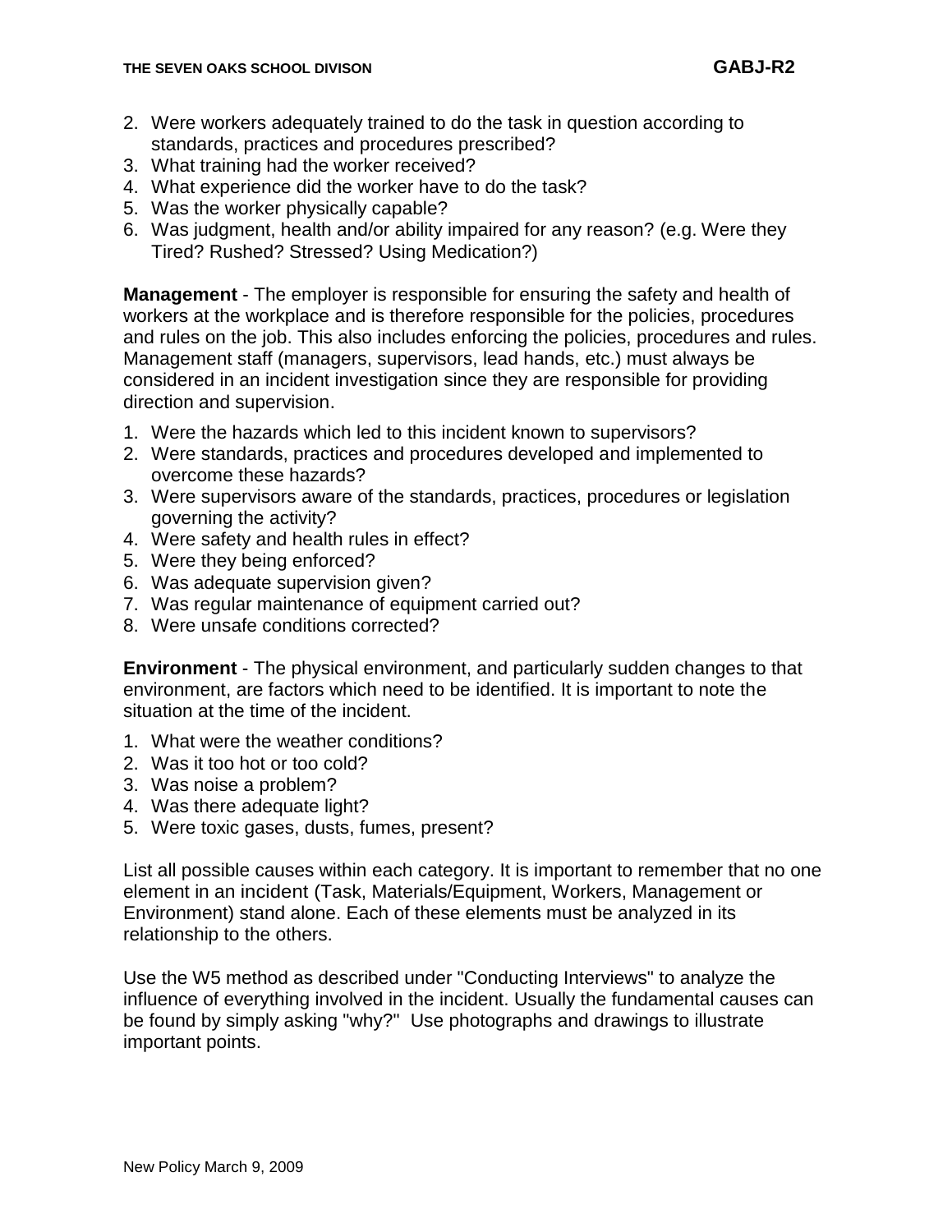- 2. Were workers adequately trained to do the task in question according to standards, practices and procedures prescribed?
- 3. What training had the worker received?
- 4. What experience did the worker have to do the task?
- 5. Was the worker physically capable?
- 6. Was judgment, health and/or ability impaired for any reason? (e.g. Were they Tired? Rushed? Stressed? Using Medication?)

**Management** - The employer is responsible for ensuring the safety and health of workers at the workplace and is therefore responsible for the policies, procedures and rules on the job. This also includes enforcing the policies, procedures and rules. Management staff (managers, supervisors, lead hands, etc.) must always be considered in an incident investigation since they are responsible for providing direction and supervision.

- 1. Were the hazards which led to this incident known to supervisors?
- 2. Were standards, practices and procedures developed and implemented to overcome these hazards?
- 3. Were supervisors aware of the standards, practices, procedures or legislation governing the activity?
- 4. Were safety and health rules in effect?
- 5. Were they being enforced?
- 6. Was adequate supervision given?
- 7. Was regular maintenance of equipment carried out?
- 8. Were unsafe conditions corrected?

**Environment** - The physical environment, and particularly sudden changes to that environment, are factors which need to be identified. It is important to note the situation at the time of the incident.

- 1. What were the weather conditions?
- 2. Was it too hot or too cold?
- 3. Was noise a problem?
- 4. Was there adequate light?
- 5. Were toxic gases, dusts, fumes, present?

List all possible causes within each category. It is important to remember that no one element in an incident (Task, Materials/Equipment, Workers, Management or Environment) stand alone. Each of these elements must be analyzed in its relationship to the others.

Use the W5 method as described under "Conducting Interviews" to analyze the influence of everything involved in the incident. Usually the fundamental causes can be found by simply asking "why?" Use photographs and drawings to illustrate important points.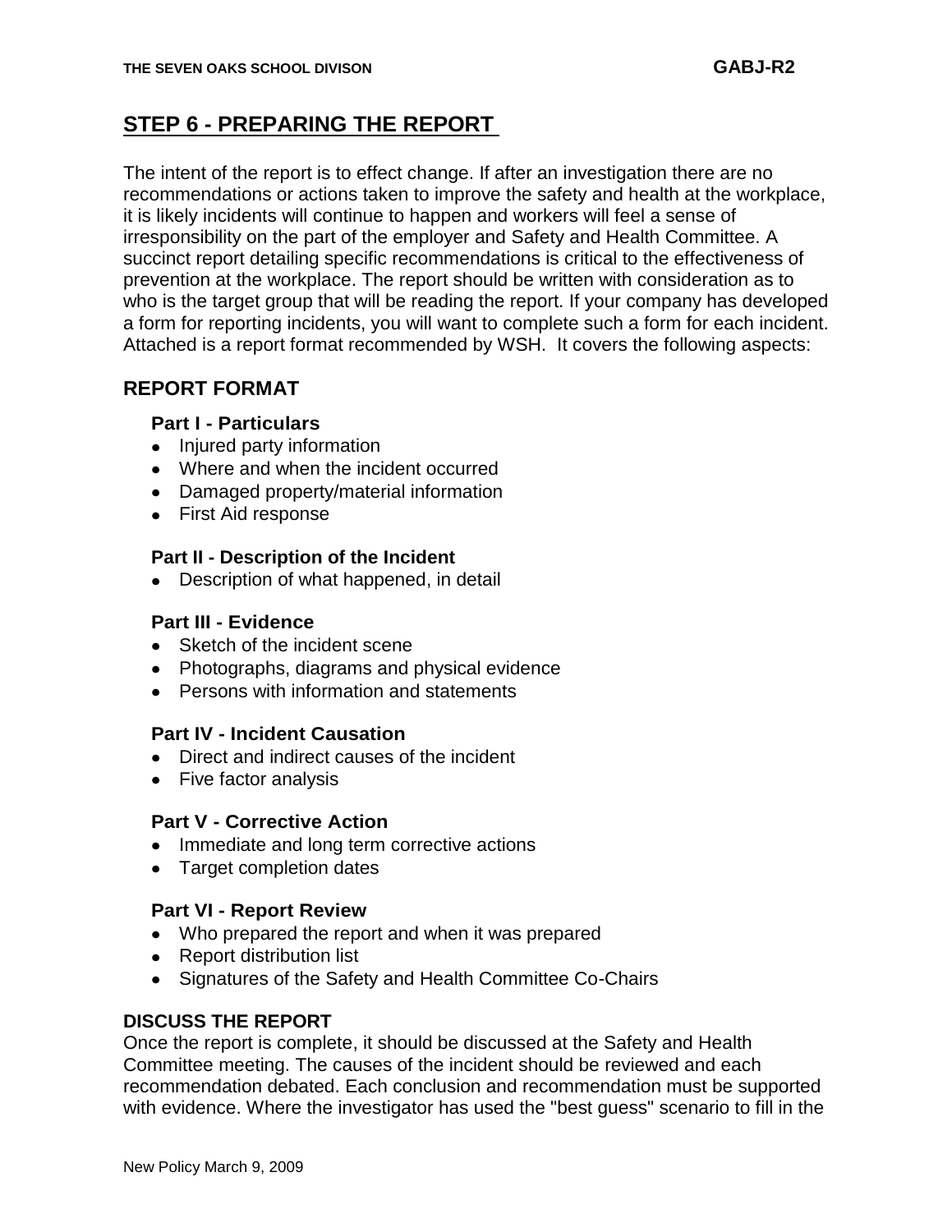## **STEP 6 - PREPARING THE REPORT**

The intent of the report is to effect change. If after an investigation there are no recommendations or actions taken to improve the safety and health at the workplace, it is likely incidents will continue to happen and workers will feel a sense of irresponsibility on the part of the employer and Safety and Health Committee. A succinct report detailing specific recommendations is critical to the effectiveness of prevention at the workplace. The report should be written with consideration as to who is the target group that will be reading the report. If your company has developed a form for reporting incidents, you will want to complete such a form for each incident. Attached is a report format recommended by WSH. It covers the following aspects:

### **REPORT FORMAT**

#### **Part I - Particulars**

- Injured party information
- Where and when the incident occurred
- Damaged property/material information
- First Aid response

#### **Part II - Description of the Incident**

Description of what happened, in detail

#### **Part III - Evidence**

- Sketch of the incident scene
- Photographs, diagrams and physical evidence
- **•** Persons with information and statements

#### **Part IV - Incident Causation**

- Direct and indirect causes of the incident
- Five factor analysis

#### **Part V - Corrective Action**

- Immediate and long term corrective actions
- Target completion dates

#### **Part VI - Report Review**

- Who prepared the report and when it was prepared
- Report distribution list
- Signatures of the Safety and Health Committee Co-Chairs

#### **DISCUSS THE REPORT**

Once the report is complete, it should be discussed at the Safety and Health Committee meeting. The causes of the incident should be reviewed and each recommendation debated. Each conclusion and recommendation must be supported with evidence. Where the investigator has used the "best guess" scenario to fill in the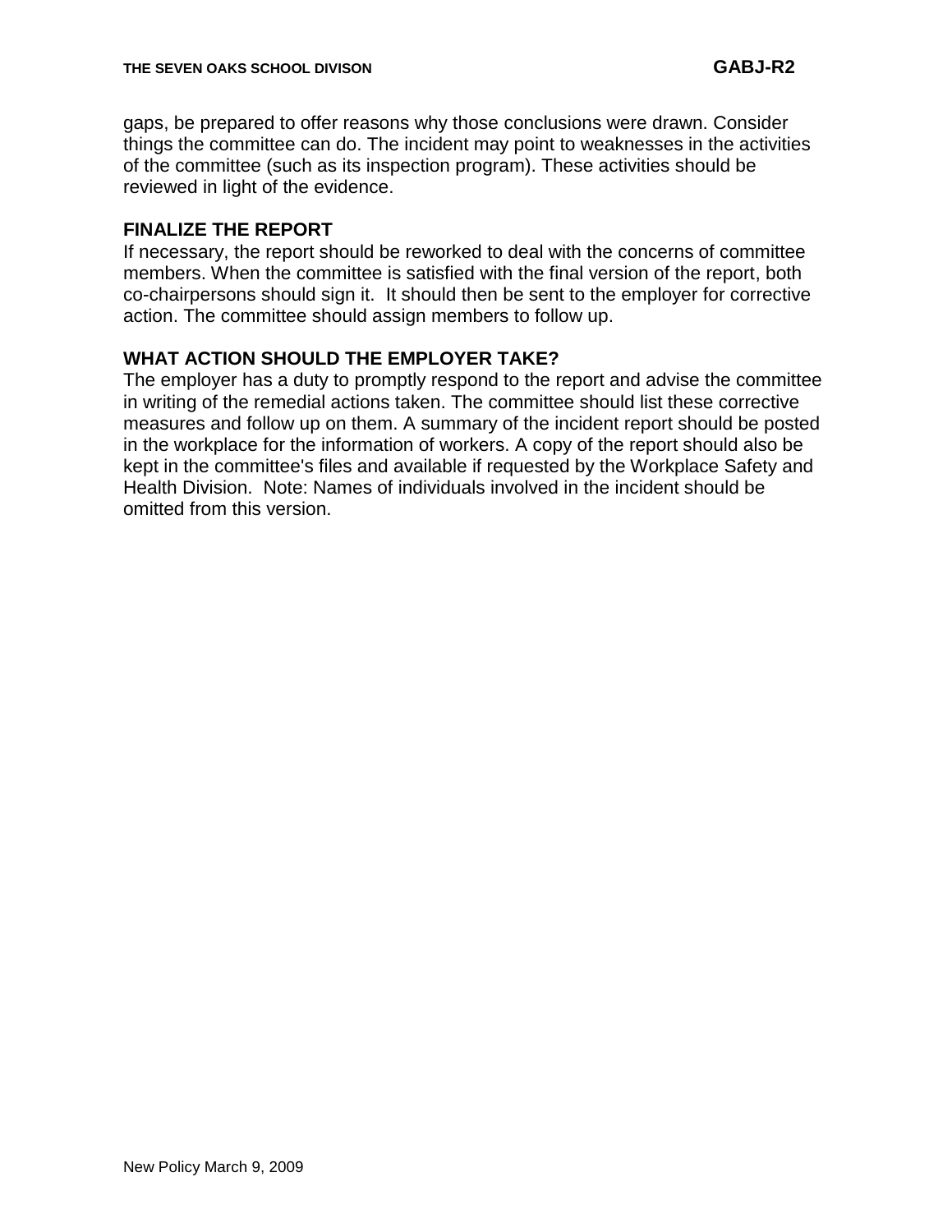gaps, be prepared to offer reasons why those conclusions were drawn. Consider things the committee can do. The incident may point to weaknesses in the activities of the committee (such as its inspection program). These activities should be reviewed in light of the evidence.

#### **FINALIZE THE REPORT**

If necessary, the report should be reworked to deal with the concerns of committee members. When the committee is satisfied with the final version of the report, both co-chairpersons should sign it. It should then be sent to the employer for corrective action. The committee should assign members to follow up.

#### **WHAT ACTION SHOULD THE EMPLOYER TAKE?**

The employer has a duty to promptly respond to the report and advise the committee in writing of the remedial actions taken. The committee should list these corrective measures and follow up on them. A summary of the incident report should be posted in the workplace for the information of workers. A copy of the report should also be kept in the committee's files and available if requested by the Workplace Safety and Health Division. Note: Names of individuals involved in the incident should be omitted from this version.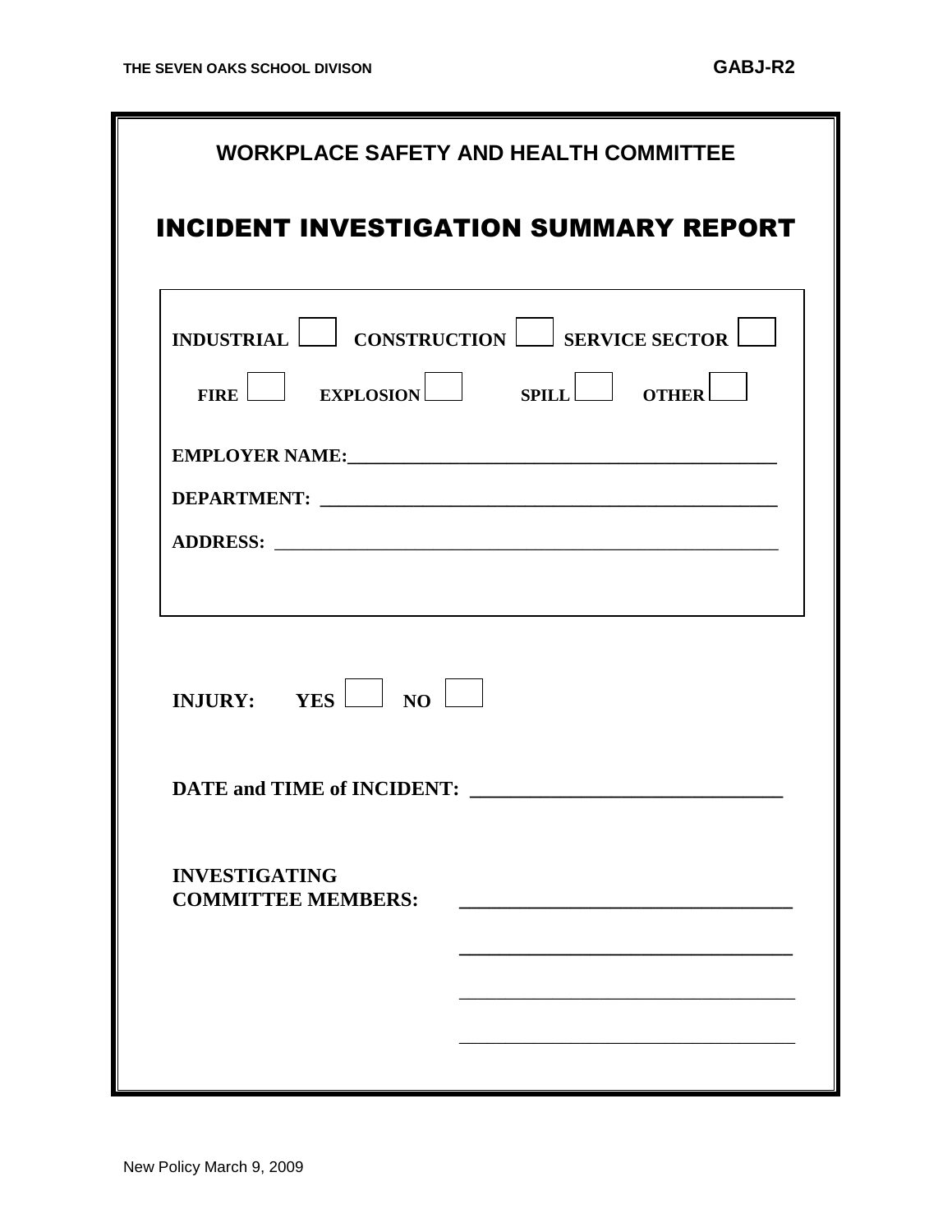|                      | <b>WORKPLACE SAFETY AND HEALTH COMMITTEE</b><br><b>INCIDENT INVESTIGATION SUMMARY REPORT</b> |
|----------------------|----------------------------------------------------------------------------------------------|
|                      | INDUSTRIAL CONSTRUCTION SERVICE SECTOR<br>$FIRE$ EXPLOSION SPILL OTHER                       |
|                      |                                                                                              |
|                      | INJURY: $YES$ NO                                                                             |
| <b>INVESTIGATING</b> | <b>DATE and TIME of INCIDENT:</b><br><b>COMMITTEE MEMBERS:</b>                               |
|                      |                                                                                              |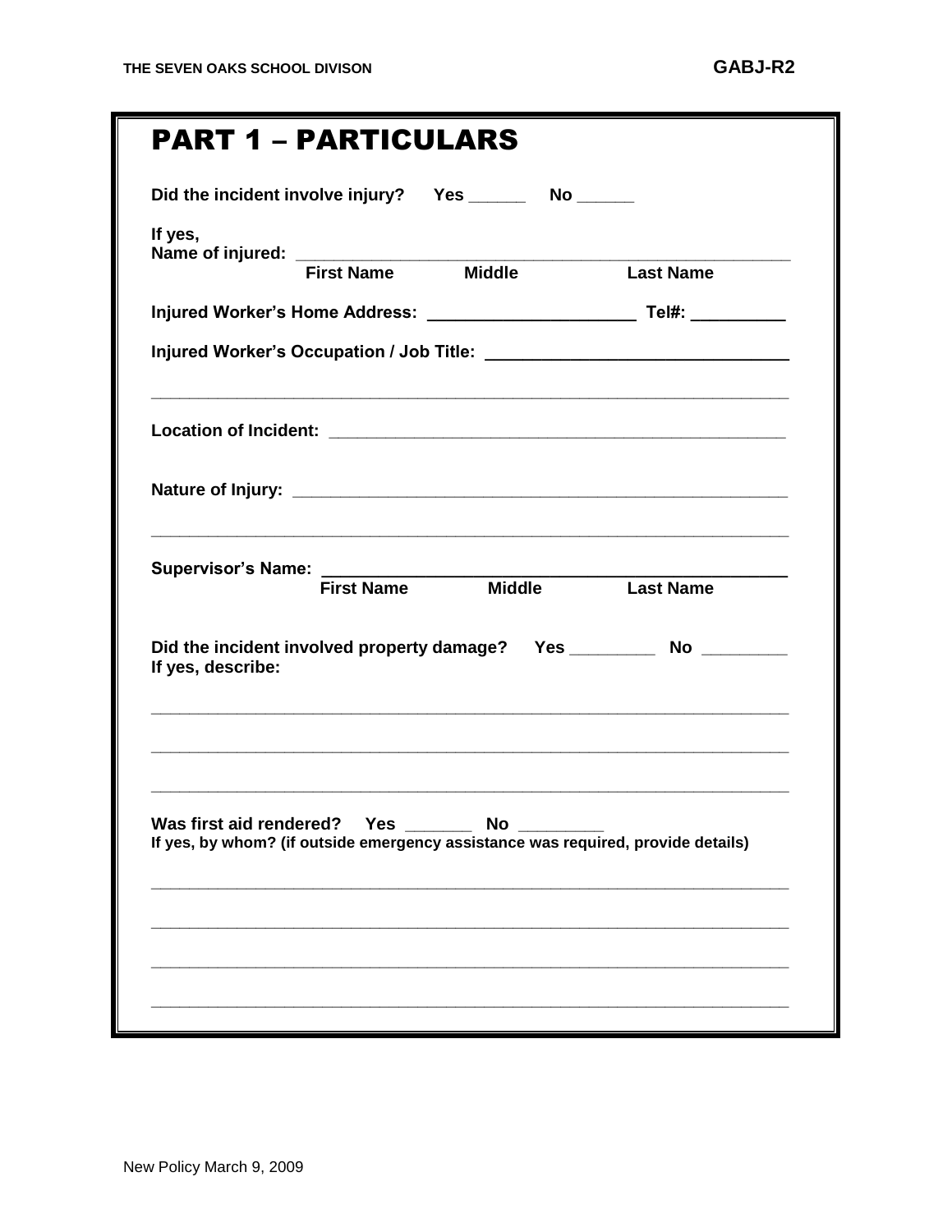# PART 1 – PARTICULARS

|                                |  | <b>Last Name</b>                                                                 |
|--------------------------------|--|----------------------------------------------------------------------------------|
|                                |  |                                                                                  |
|                                |  |                                                                                  |
|                                |  |                                                                                  |
|                                |  |                                                                                  |
|                                |  |                                                                                  |
|                                |  | First Name Middle Last Name                                                      |
| If yes, describe:              |  | Did the incident involved property damage? Yes _____________ No ___________      |
|                                |  |                                                                                  |
| Was first aid rendered? Yes No |  | If yes, by whom? (if outside emergency assistance was required, provide details) |
|                                |  |                                                                                  |
|                                |  |                                                                                  |
|                                |  |                                                                                  |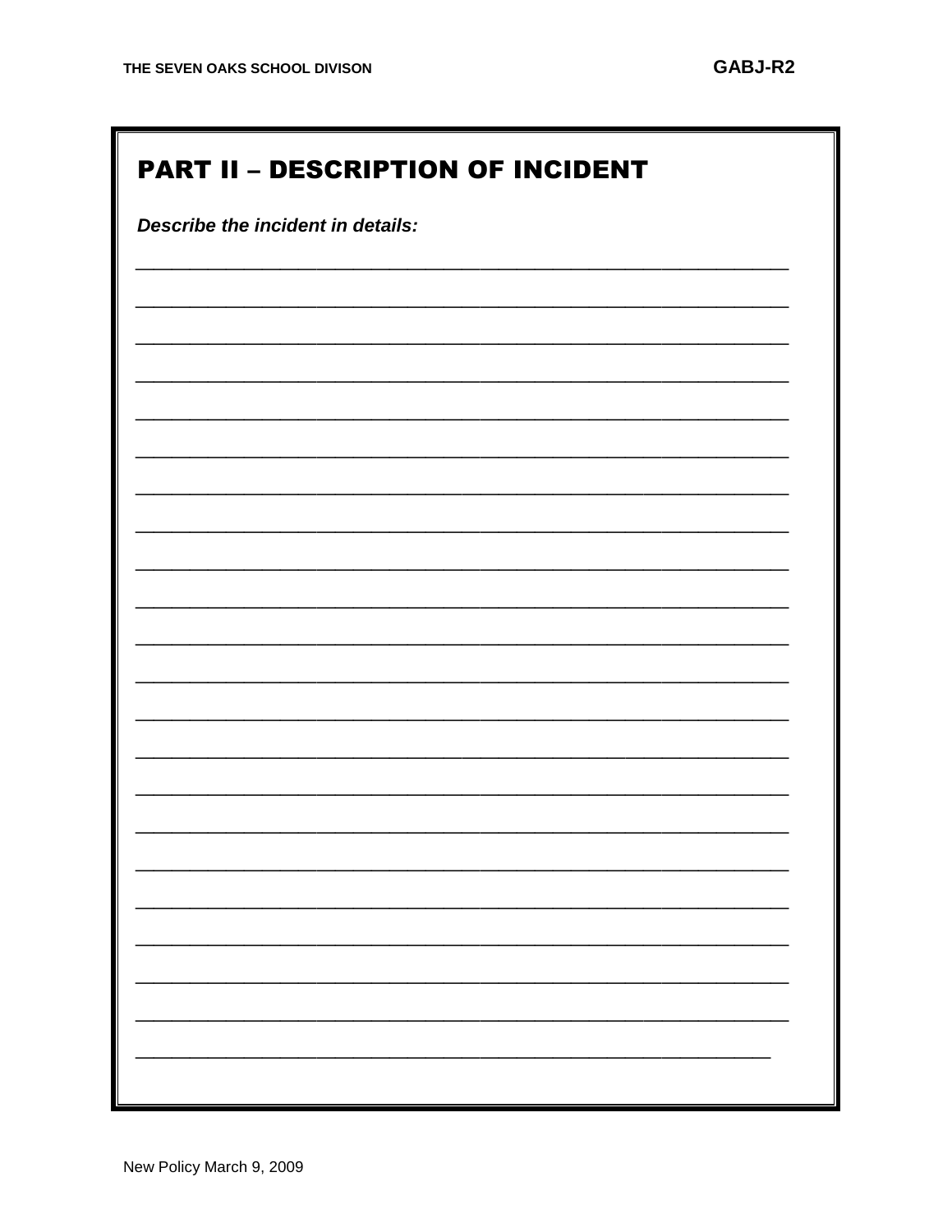IF.

| <b>PART II - DESCRIPTION OF INCIDENT</b> |  |  |  |  |
|------------------------------------------|--|--|--|--|
| Describe the incident in details:        |  |  |  |  |
|                                          |  |  |  |  |
|                                          |  |  |  |  |
|                                          |  |  |  |  |
|                                          |  |  |  |  |
|                                          |  |  |  |  |
|                                          |  |  |  |  |
|                                          |  |  |  |  |
|                                          |  |  |  |  |
|                                          |  |  |  |  |
|                                          |  |  |  |  |
|                                          |  |  |  |  |
|                                          |  |  |  |  |
|                                          |  |  |  |  |
|                                          |  |  |  |  |
|                                          |  |  |  |  |
|                                          |  |  |  |  |
|                                          |  |  |  |  |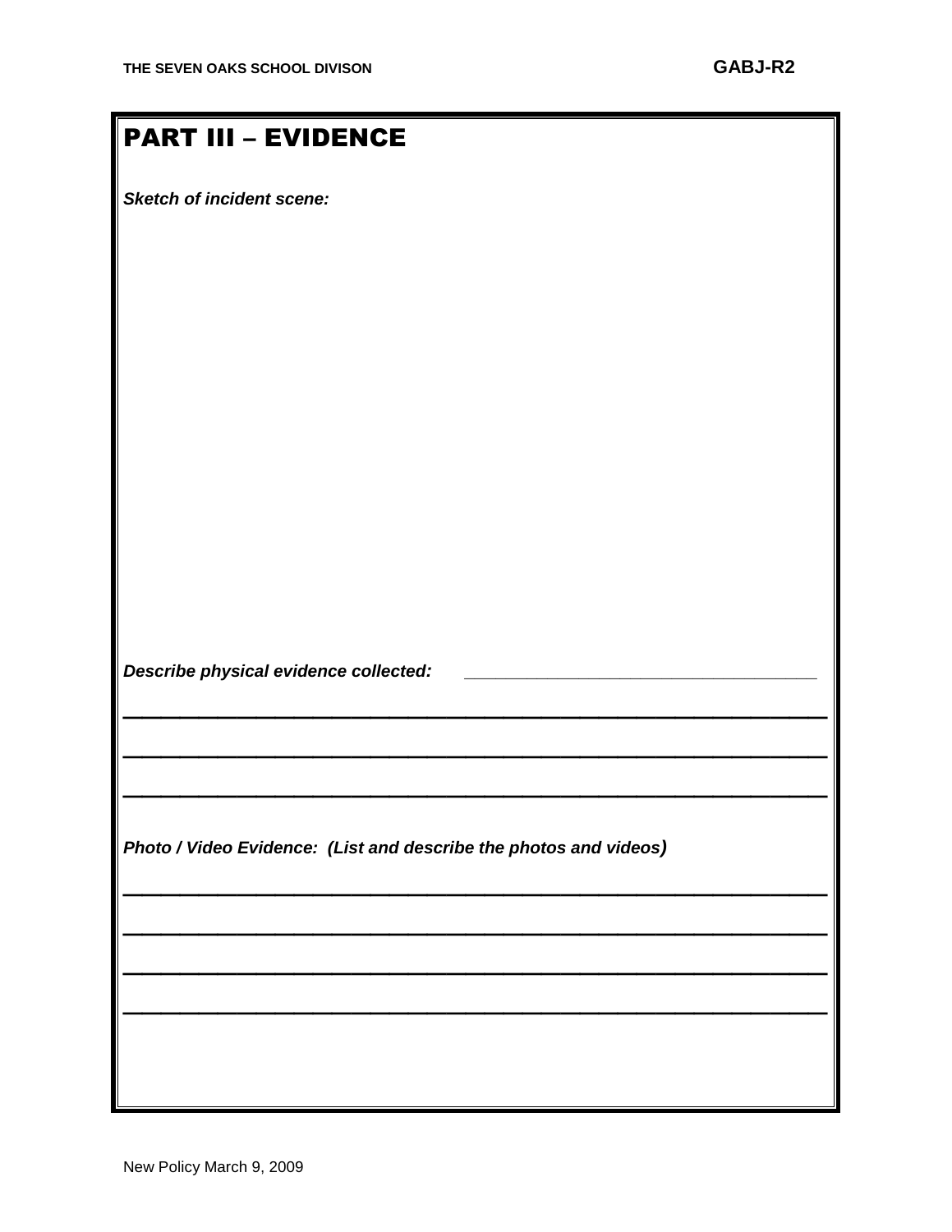## PART III – EVIDENCE

*Sketch of incident scene:*

*Describe physical evidence collected:* **\_\_\_\_\_\_\_\_\_\_\_\_\_\_\_\_\_\_\_\_\_\_\_\_\_\_\_\_\_\_\_\_\_\_** 

*Photo / Video Evidence: (List and describe the photos and videos)*

 $\frac{1}{2}$  ,  $\frac{1}{2}$  ,  $\frac{1}{2}$  ,  $\frac{1}{2}$  ,  $\frac{1}{2}$  ,  $\frac{1}{2}$  ,  $\frac{1}{2}$  ,  $\frac{1}{2}$  ,  $\frac{1}{2}$  ,  $\frac{1}{2}$  ,  $\frac{1}{2}$  ,  $\frac{1}{2}$  ,  $\frac{1}{2}$  ,  $\frac{1}{2}$  ,  $\frac{1}{2}$  ,  $\frac{1}{2}$  ,  $\frac{1}{2}$  ,  $\frac{1}{2}$  ,  $\frac{1$ 

 $\frac{1}{2}$  ,  $\frac{1}{2}$  ,  $\frac{1}{2}$  ,  $\frac{1}{2}$  ,  $\frac{1}{2}$  ,  $\frac{1}{2}$  ,  $\frac{1}{2}$  ,  $\frac{1}{2}$  ,  $\frac{1}{2}$  ,  $\frac{1}{2}$  ,  $\frac{1}{2}$  ,  $\frac{1}{2}$  ,  $\frac{1}{2}$  ,  $\frac{1}{2}$  ,  $\frac{1}{2}$  ,  $\frac{1}{2}$  ,  $\frac{1}{2}$  ,  $\frac{1}{2}$  ,  $\frac{1$ 

 $\frac{1}{2}$  ,  $\frac{1}{2}$  ,  $\frac{1}{2}$  ,  $\frac{1}{2}$  ,  $\frac{1}{2}$  ,  $\frac{1}{2}$  ,  $\frac{1}{2}$  ,  $\frac{1}{2}$  ,  $\frac{1}{2}$  ,  $\frac{1}{2}$  ,  $\frac{1}{2}$  ,  $\frac{1}{2}$  ,  $\frac{1}{2}$  ,  $\frac{1}{2}$  ,  $\frac{1}{2}$  ,  $\frac{1}{2}$  ,  $\frac{1}{2}$  ,  $\frac{1}{2}$  ,  $\frac{1$ 

 $\frac{1}{2}$  ,  $\frac{1}{2}$  ,  $\frac{1}{2}$  ,  $\frac{1}{2}$  ,  $\frac{1}{2}$  ,  $\frac{1}{2}$  ,  $\frac{1}{2}$  ,  $\frac{1}{2}$  ,  $\frac{1}{2}$  ,  $\frac{1}{2}$  ,  $\frac{1}{2}$  ,  $\frac{1}{2}$  ,  $\frac{1}{2}$  ,  $\frac{1}{2}$  ,  $\frac{1}{2}$  ,  $\frac{1}{2}$  ,  $\frac{1}{2}$  ,  $\frac{1}{2}$  ,  $\frac{1$ 

 $\frac{1}{2}$  ,  $\frac{1}{2}$  ,  $\frac{1}{2}$  ,  $\frac{1}{2}$  ,  $\frac{1}{2}$  ,  $\frac{1}{2}$  ,  $\frac{1}{2}$  ,  $\frac{1}{2}$  ,  $\frac{1}{2}$  ,  $\frac{1}{2}$  ,  $\frac{1}{2}$  ,  $\frac{1}{2}$  ,  $\frac{1}{2}$  ,  $\frac{1}{2}$  ,  $\frac{1}{2}$  ,  $\frac{1}{2}$  ,  $\frac{1}{2}$  ,  $\frac{1}{2}$  ,  $\frac{1$ 

 $\frac{1}{2}$  ,  $\frac{1}{2}$  ,  $\frac{1}{2}$  ,  $\frac{1}{2}$  ,  $\frac{1}{2}$  ,  $\frac{1}{2}$  ,  $\frac{1}{2}$  ,  $\frac{1}{2}$  ,  $\frac{1}{2}$  ,  $\frac{1}{2}$  ,  $\frac{1}{2}$  ,  $\frac{1}{2}$  ,  $\frac{1}{2}$  ,  $\frac{1}{2}$  ,  $\frac{1}{2}$  ,  $\frac{1}{2}$  ,  $\frac{1}{2}$  ,  $\frac{1}{2}$  ,  $\frac{1$ 

 $\frac{1}{2}$  ,  $\frac{1}{2}$  ,  $\frac{1}{2}$  ,  $\frac{1}{2}$  ,  $\frac{1}{2}$  ,  $\frac{1}{2}$  ,  $\frac{1}{2}$  ,  $\frac{1}{2}$  ,  $\frac{1}{2}$  ,  $\frac{1}{2}$  ,  $\frac{1}{2}$  ,  $\frac{1}{2}$  ,  $\frac{1}{2}$  ,  $\frac{1}{2}$  ,  $\frac{1}{2}$  ,  $\frac{1}{2}$  ,  $\frac{1}{2}$  ,  $\frac{1}{2}$  ,  $\frac{1$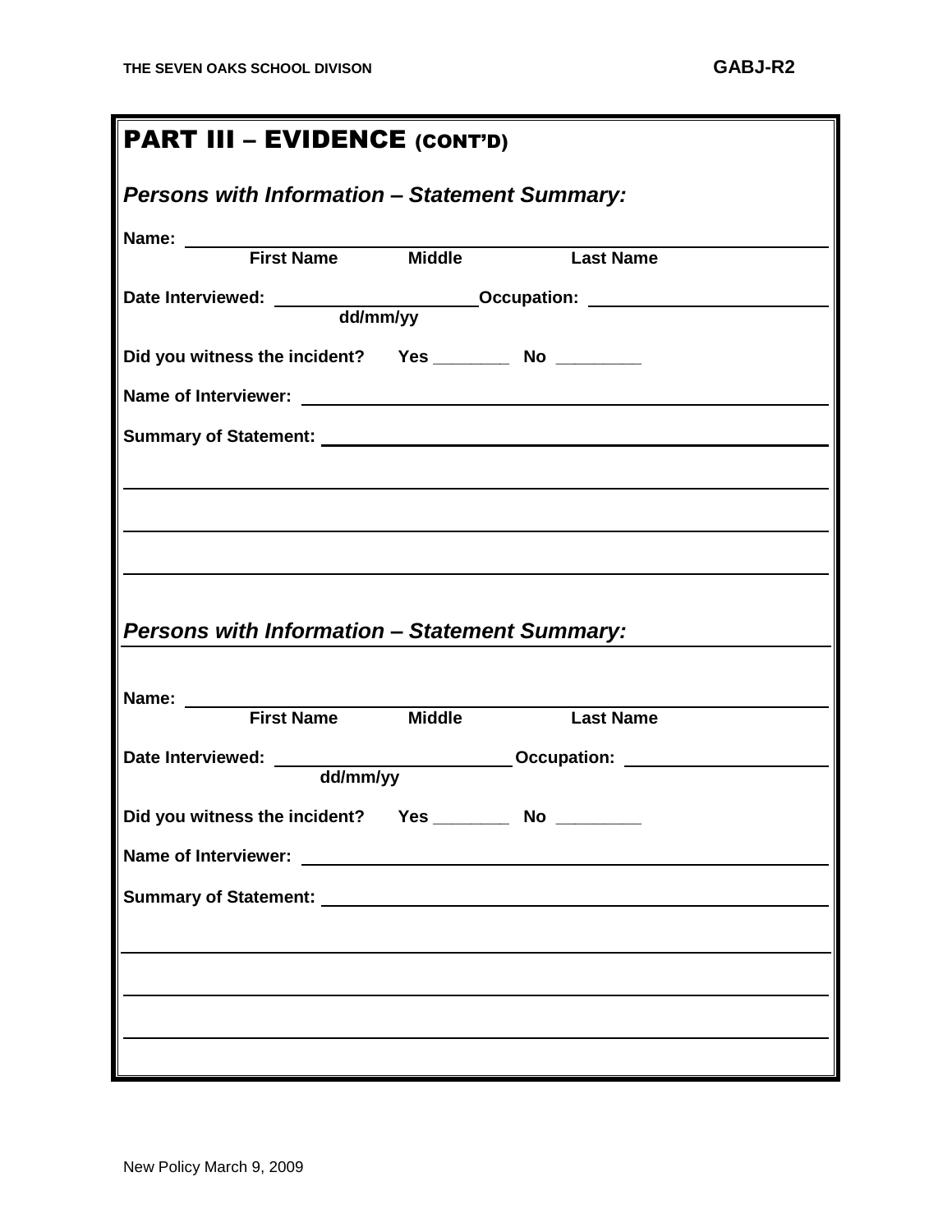| <b>PART III - EVIDENCE (CONT'D)</b>                                                          |  |  |  |  |  |
|----------------------------------------------------------------------------------------------|--|--|--|--|--|
| <b>Persons with Information - Statement Summary:</b>                                         |  |  |  |  |  |
| Name: <u>First Name</u> Middle Mass Mame                                                     |  |  |  |  |  |
|                                                                                              |  |  |  |  |  |
| Did you witness the incident?  Yes _____________ No ___________                              |  |  |  |  |  |
|                                                                                              |  |  |  |  |  |
|                                                                                              |  |  |  |  |  |
|                                                                                              |  |  |  |  |  |
|                                                                                              |  |  |  |  |  |
| <b>Persons with Information - Statement Summary:</b>                                         |  |  |  |  |  |
| Name: <u>First Name</u> Middle Mass Name                                                     |  |  |  |  |  |
| Date Interviewed: ______________________________Occupation: ____________________<br>dd/mm/yy |  |  |  |  |  |
| Did you witness the incident? Yes _____________ No _________                                 |  |  |  |  |  |
|                                                                                              |  |  |  |  |  |
|                                                                                              |  |  |  |  |  |
|                                                                                              |  |  |  |  |  |
|                                                                                              |  |  |  |  |  |
|                                                                                              |  |  |  |  |  |
|                                                                                              |  |  |  |  |  |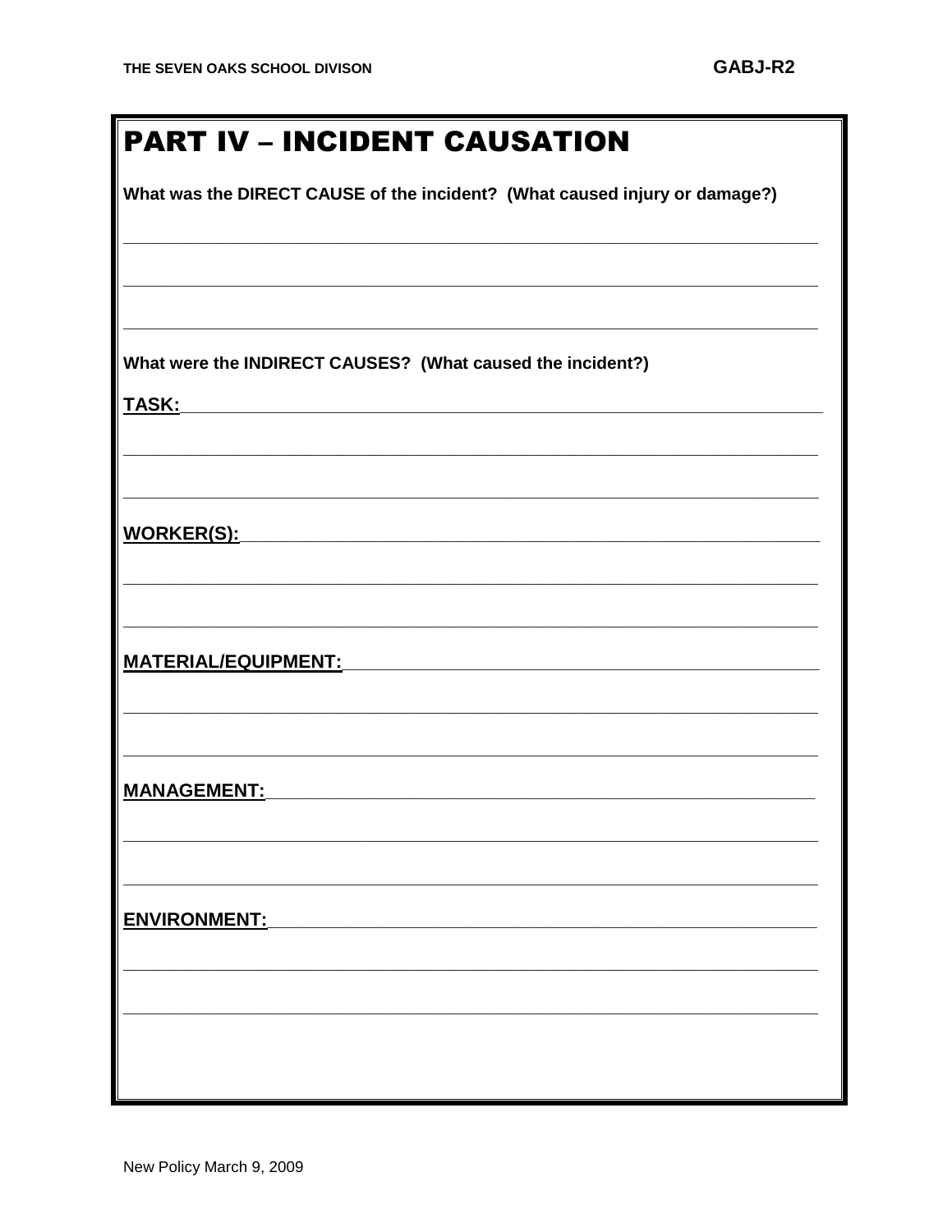What was the DIRECT CAUSE of the incident? (What caused injury or damage?)

What were the INDIRECT CAUSES? (What caused the incident?)

**TASK:** 

WORKER(S):

**MANAGEMENT:** 

ENVIRONMENT: